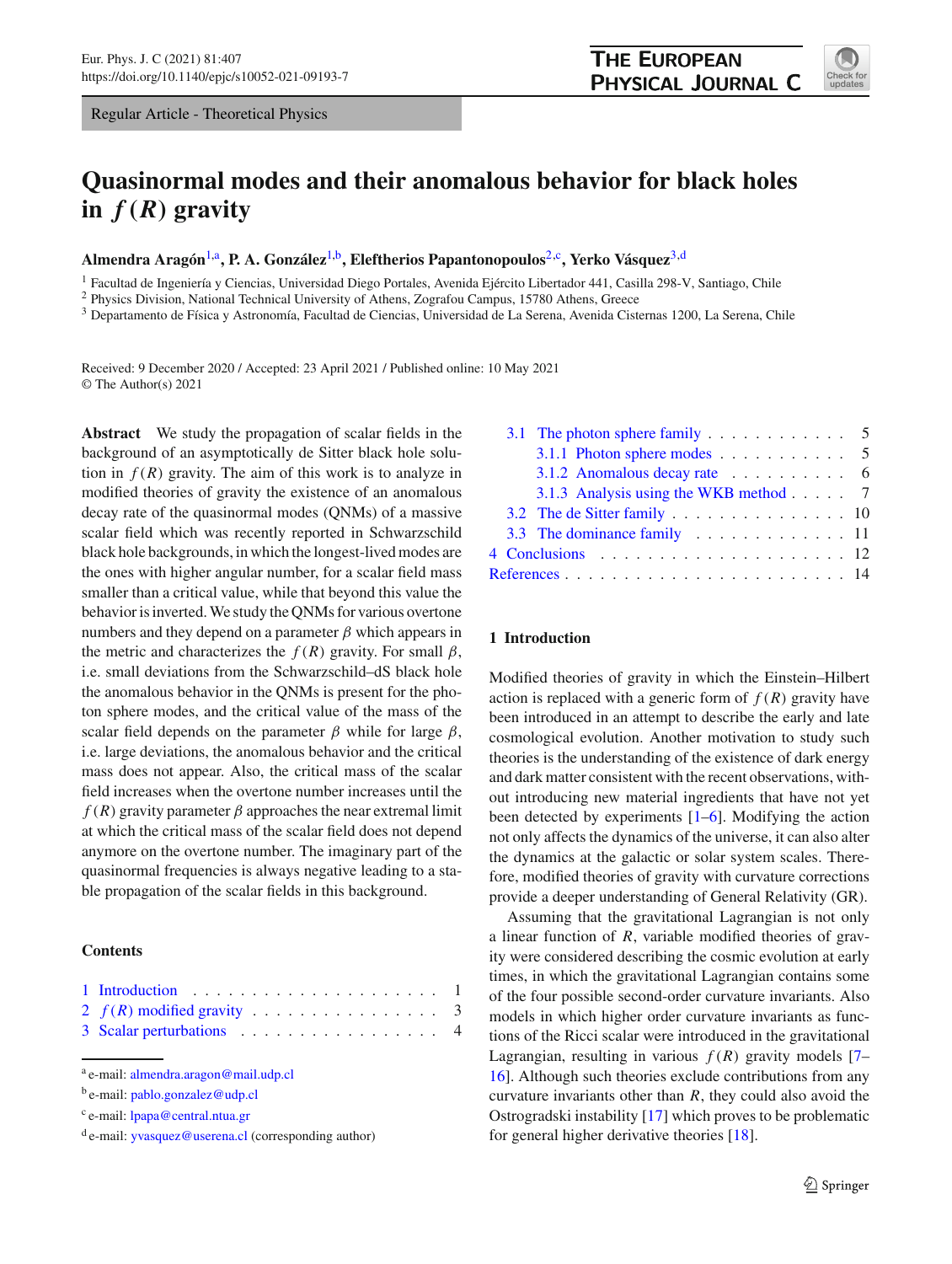Regular Article - Theoretical Physics

# **Quasinormal modes and their anomalous behavior for black holes** in  $f(R)$  gravity

**Almendra Aragón**[1,](#page-0-0)a**, P. A. González**[1,](#page-0-0)b**, Eleftherios Papantonopoulos**[2,](#page-0-0)c**, Yerko Vásquez**[3,](#page-0-1)d

<sup>1</sup> Facultad de Ingeniería y Ciencias, Universidad Diego Portales, Avenida Ejército Libertador 441, Casilla 298-V, Santiago, Chile

<sup>2</sup> Physics Division, National Technical University of Athens, Zografou Campus, 15780 Athens, Greece

<sup>3</sup> Departamento de Física y Astronomía, Facultad de Ciencias, Universidad de La Serena, Avenida Cisternas 1200, La Serena, Chile

Received: 9 December 2020 / Accepted: 23 April 2021 / Published online: 10 May 2021 © The Author(s) 2021

**Abstract** We study the propagation of scalar fields in the background of an asymptotically de Sitter black hole solution in  $f(R)$  gravity. The aim of this work is to analyze in modified theories of gravity the existence of an anomalous decay rate of the quasinormal modes (QNMs) of a massive scalar field which was recently reported in Schwarzschild black hole backgrounds, in which the longest-lived modes are the ones with higher angular number, for a scalar field mass smaller than a critical value, while that beyond this value the behavior is inverted. We study the QNMs for various overtone numbers and they depend on a parameter  $\beta$  which appears in the metric and characterizes the  $f(R)$  gravity. For small  $\beta$ , i.e. small deviations from the Schwarzschild–dS black hole the anomalous behavior in the QNMs is present for the photon sphere modes, and the critical value of the mass of the scalar field depends on the parameter  $\beta$  while for large  $\beta$ , i.e. large deviations, the anomalous behavior and the critical mass does not appear. Also, the critical mass of the scalar field increases when the overtone number increases until the  $f(R)$  gravity parameter  $\beta$  approaches the near extremal limit at which the critical mass of the scalar field does not depend anymore on the overtone number. The imaginary part of the quasinormal frequencies is always negative leading to a stable propagation of the scalar fields in this background.

# **Contents**

| 3 Scalar perturbations 4 |  |  |  |  |  |  |  |  |  |
|--------------------------|--|--|--|--|--|--|--|--|--|

<sup>a</sup> e-mail: [almendra.aragon@mail.udp.cl](mailto:almendra.aragon@mail.udp.cl)

<span id="page-0-1"></span>

|  | 3.1 The photon sphere family 5                                 |  |
|--|----------------------------------------------------------------|--|
|  | 3.1.1 Photon sphere modes $\ldots \ldots \ldots \ldots$ 5      |  |
|  | 3.1.2 Anomalous decay rate $\ldots \ldots \ldots$ 6            |  |
|  | 3.1.3 Analysis using the WKB method 7                          |  |
|  | 3.2 The de Sitter family $\ldots$ 10                           |  |
|  | 3.3 The dominance family $\dots \dots \dots \dots \dots \dots$ |  |
|  |                                                                |  |
|  |                                                                |  |

# <span id="page-0-2"></span>**1 Introduction**

Modified theories of gravity in which the Einstein–Hilbert action is replaced with a generic form of  $f(R)$  gravity have been introduced in an attempt to describe the early and late cosmological evolution. Another motivation to study such theories is the understanding of the existence of dark energy and dark matter consistent with the recent observations, without introducing new material ingredients that have not yet been detected by experiments [\[1](#page-13-1)[–6\]](#page-13-2). Modifying the action not only affects the dynamics of the universe, it can also alter the dynamics at the galactic or solar system scales. Therefore, modified theories of gravity with curvature corrections provide a deeper understanding of General Relativity (GR).

Assuming that the gravitational Lagrangian is not only a linear function of *R*, variable modified theories of gravity were considered describing the cosmic evolution at early times, in which the gravitational Lagrangian contains some of the four possible second-order curvature invariants. Also models in which higher order curvature invariants as functions of the Ricci scalar were introduced in the gravitational Lagrangian, resulting in various  $f(R)$  gravity models [\[7](#page-13-3)– [16](#page-13-4)]. Although such theories exclude contributions from any curvature invariants other than *R*, they could also avoid the Ostrogradski instability [\[17](#page-13-5)] which proves to be problematic for general higher derivative theories [\[18\]](#page-13-6).

<span id="page-0-0"></span>

b e-mail: [pablo.gonzalez@udp.cl](mailto:pablo.gonzalez@udp.cl)

<sup>c</sup> e-mail: [lpapa@central.ntua.gr](mailto:lpapa@central.ntua.gr)

<sup>d</sup> e-mail: [yvasquez@userena.cl](mailto:yvasquez@userena.cl) (corresponding author)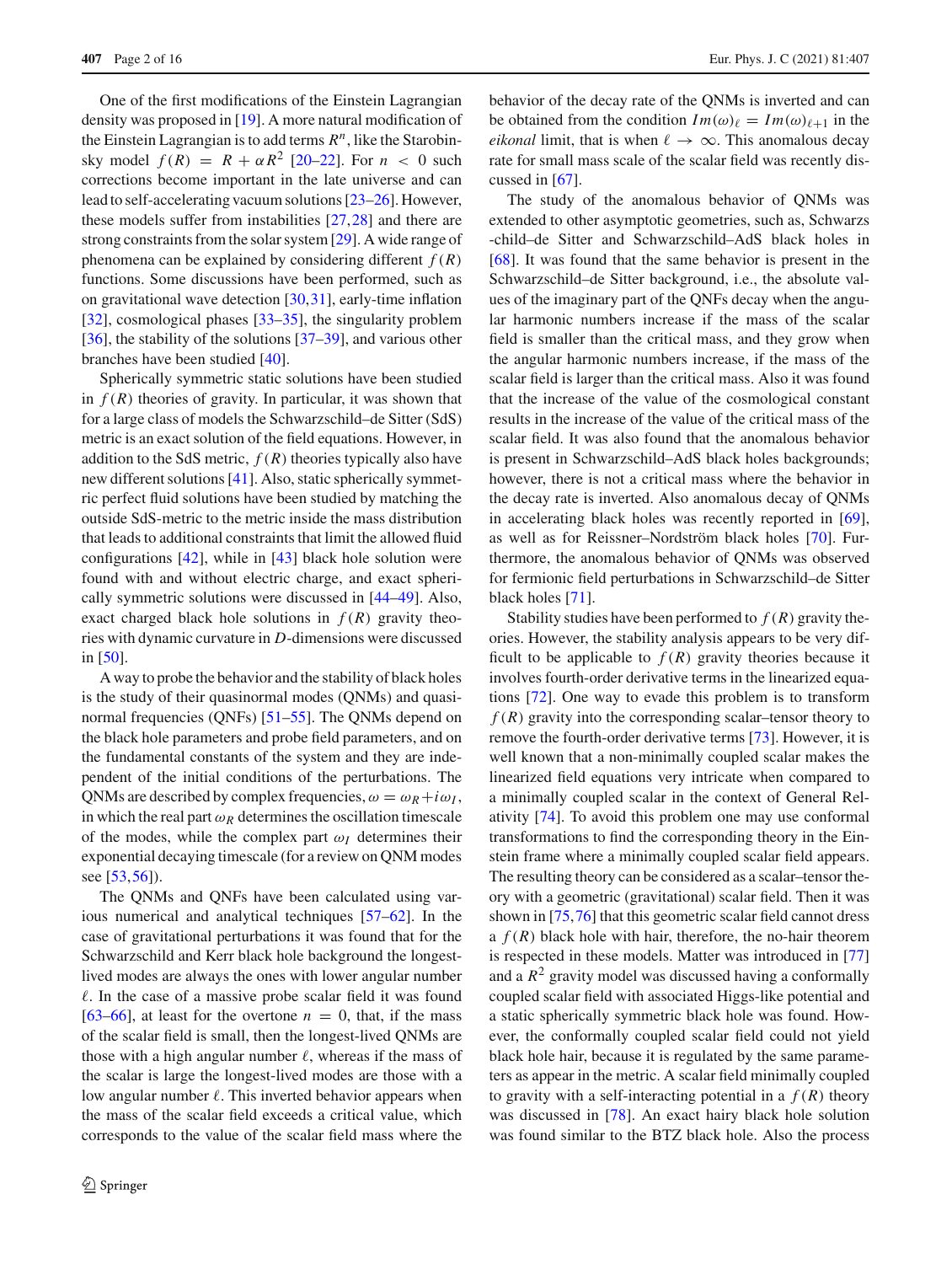One of the first modifications of the Einstein Lagrangian density was proposed in [\[19](#page-13-7)]. A more natural modification of the Einstein Lagrangian is to add terms  $R^n$ , like the Starobinsky model  $f(R) = R + \alpha R^2$  [\[20](#page-13-8)[–22](#page-13-9)]. For  $n < 0$  such corrections become important in the late universe and can lead to self-accelerating vacuum solutions [\[23](#page-13-10)[–26\]](#page-13-11). However, these models suffer from instabilities [\[27](#page-13-12)[,28](#page-13-13)] and there are strong constraints from the solar system [\[29](#page-13-14)]. A wide range of phenomena can be explained by considering different  $f(R)$ functions. Some discussions have been performed, such as on gravitational wave detection [\[30](#page-13-15)[,31](#page-13-16)], early-time inflation [\[32](#page-13-17)], cosmological phases [\[33](#page-13-18)[–35\]](#page-13-19), the singularity problem [\[36](#page-13-20)], the stability of the solutions [\[37](#page-13-21)[–39\]](#page-14-0), and various other branches have been studied [\[40\]](#page-14-1).

Spherically symmetric static solutions have been studied in  $f(R)$  theories of gravity. In particular, it was shown that for a large class of models the Schwarzschild–de Sitter (SdS) metric is an exact solution of the field equations. However, in addition to the SdS metric,  $f(R)$  theories typically also have new different solutions [\[41\]](#page-14-2). Also, static spherically symmetric perfect fluid solutions have been studied by matching the outside SdS-metric to the metric inside the mass distribution that leads to additional constraints that limit the allowed fluid configurations  $[42]$  $[42]$ , while in  $[43]$  black hole solution were found with and without electric charge, and exact spherically symmetric solutions were discussed in [\[44](#page-14-5)[–49](#page-14-6)]. Also, exact charged black hole solutions in  $f(R)$  gravity theories with dynamic curvature in *D*-dimensions were discussed in [\[50\]](#page-14-7).

A way to probe the behavior and the stability of black holes is the study of their quasinormal modes (QNMs) and quasinormal frequencies (QNFs) [\[51](#page-14-8)[–55\]](#page-14-9). The QNMs depend on the black hole parameters and probe field parameters, and on the fundamental constants of the system and they are independent of the initial conditions of the perturbations. The QNMs are described by complex frequencies,  $\omega = \omega_R + i \omega_I$ , in which the real part  $\omega_R$  determines the oscillation timescale of the modes, while the complex part  $\omega_I$  determines their exponential decaying timescale (for a review on QNM modes see [\[53,](#page-14-10)[56\]](#page-14-11)).

The QNMs and QNFs have been calculated using various numerical and analytical techniques [\[57](#page-14-12)[–62\]](#page-14-13). In the case of gravitational perturbations it was found that for the Schwarzschild and Kerr black hole background the longestlived modes are always the ones with lower angular number  $\ell$ . In the case of a massive probe scalar field it was found [\[63](#page-14-14)[–66](#page-14-15)], at least for the overtone  $n = 0$ , that, if the mass of the scalar field is small, then the longest-lived QNMs are those with a high angular number  $\ell$ , whereas if the mass of the scalar is large the longest-lived modes are those with a low angular number  $\ell$ . This inverted behavior appears when the mass of the scalar field exceeds a critical value, which corresponds to the value of the scalar field mass where the behavior of the decay rate of the QNMs is inverted and can be obtained from the condition  $Im(\omega)_{\ell} = Im(\omega)_{\ell+1}$  in the *eikonal* limit, that is when  $\ell \to \infty$ . This anomalous decay rate for small mass scale of the scalar field was recently discussed in [\[67\]](#page-14-16).

The study of the anomalous behavior of QNMs was extended to other asymptotic geometries, such as, Schwarzs -child–de Sitter and Schwarzschild–AdS black holes in [\[68](#page-14-17)]. It was found that the same behavior is present in the Schwarzschild–de Sitter background, i.e., the absolute values of the imaginary part of the QNFs decay when the angular harmonic numbers increase if the mass of the scalar field is smaller than the critical mass, and they grow when the angular harmonic numbers increase, if the mass of the scalar field is larger than the critical mass. Also it was found that the increase of the value of the cosmological constant results in the increase of the value of the critical mass of the scalar field. It was also found that the anomalous behavior is present in Schwarzschild–AdS black holes backgrounds; however, there is not a critical mass where the behavior in the decay rate is inverted. Also anomalous decay of QNMs in accelerating black holes was recently reported in [\[69](#page-14-18)], as well as for Reissner–Nordström black holes [\[70\]](#page-14-19). Furthermore, the anomalous behavior of QNMs was observed for fermionic field perturbations in Schwarzschild–de Sitter black holes [\[71](#page-14-20)].

Stability studies have been performed to  $f(R)$  gravity theories. However, the stability analysis appears to be very difficult to be applicable to  $f(R)$  gravity theories because it involves fourth-order derivative terms in the linearized equations [\[72](#page-14-21)]. One way to evade this problem is to transform  $f(R)$  gravity into the corresponding scalar–tensor theory to remove the fourth-order derivative terms [\[73\]](#page-14-22). However, it is well known that a non-minimally coupled scalar makes the linearized field equations very intricate when compared to a minimally coupled scalar in the context of General Relativity [\[74\]](#page-14-23). To avoid this problem one may use conformal transformations to find the corresponding theory in the Einstein frame where a minimally coupled scalar field appears. The resulting theory can be considered as a scalar–tensor theory with a geometric (gravitational) scalar field. Then it was shown in [\[75](#page-14-24)[,76](#page-14-25)] that this geometric scalar field cannot dress a  $f(R)$  black hole with hair, therefore, the no-hair theorem is respected in these models. Matter was introduced in [\[77\]](#page-14-26) and a  $R^2$  gravity model was discussed having a conformally coupled scalar field with associated Higgs-like potential and a static spherically symmetric black hole was found. However, the conformally coupled scalar field could not yield black hole hair, because it is regulated by the same parameters as appear in the metric. A scalar field minimally coupled to gravity with a self-interacting potential in a  $f(R)$  theory was discussed in [\[78\]](#page-14-27). An exact hairy black hole solution was found similar to the BTZ black hole. Also the process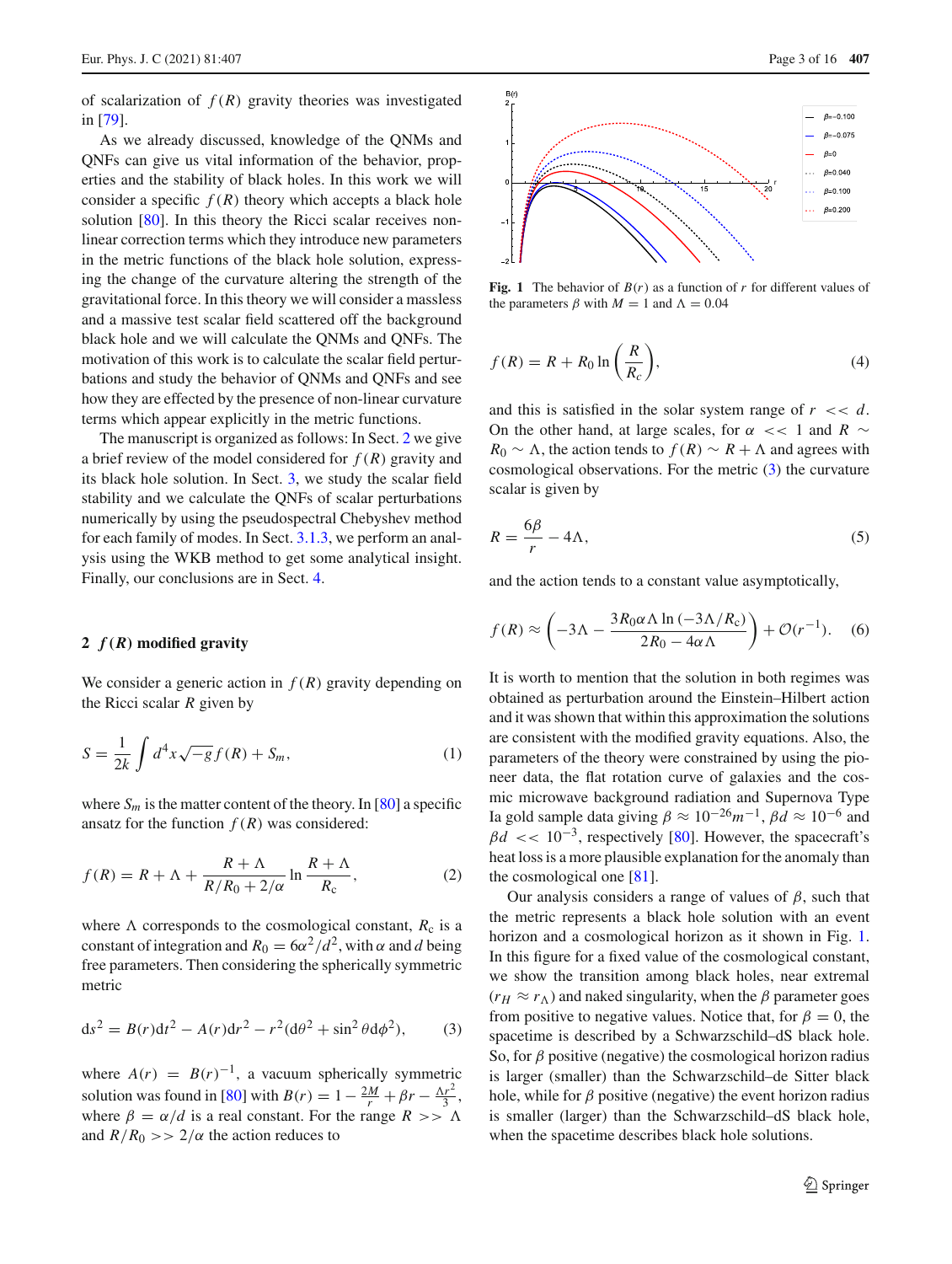of scalarization of  $f(R)$  gravity theories was investigated in [\[79\]](#page-14-28).

As we already discussed, knowledge of the QNMs and QNFs can give us vital information of the behavior, properties and the stability of black holes. In this work we will consider a specific  $f(R)$  theory which accepts a black hole solution [\[80\]](#page-15-0). In this theory the Ricci scalar receives nonlinear correction terms which they introduce new parameters in the metric functions of the black hole solution, expressing the change of the curvature altering the strength of the gravitational force. In this theory we will consider a massless and a massive test scalar field scattered off the background black hole and we will calculate the QNMs and QNFs. The motivation of this work is to calculate the scalar field perturbations and study the behavior of QNMs and QNFs and see how they are effected by the presence of non-linear curvature terms which appear explicitly in the metric functions.

The manuscript is organized as follows: In Sect. [2](#page-2-0) we give a brief review of the model considered for *f* (*R*) gravity and its black hole solution. In Sect. [3,](#page-3-0) we study the scalar field stability and we calculate the QNFs of scalar perturbations numerically by using the pseudospectral Chebyshev method for each family of modes. In Sect. [3.1.3,](#page-6-0) we perform an analysis using the WKB method to get some analytical insight. Finally, our conclusions are in Sect. [4.](#page-11-0)

# <span id="page-2-0"></span>**2** *f(R)* **modified gravity**

We consider a generic action in  $f(R)$  gravity depending on the Ricci scalar *R* given by

$$
S = \frac{1}{2k} \int d^4x \sqrt{-g} f(R) + S_m,
$$
 (1)

where  $S_m$  is the matter content of the theory. In [\[80](#page-15-0)] a specific ansatz for the function  $f(R)$  was considered:

$$
f(R) = R + \Lambda + \frac{R + \Lambda}{R/R_0 + 2/\alpha} \ln \frac{R + \Lambda}{R_c},
$$
 (2)

<span id="page-2-1"></span>where  $\Lambda$  corresponds to the cosmological constant,  $R_c$  is a constant of integration and  $R_0 = 6\alpha^2/d^2$ , with  $\alpha$  and *d* being free parameters. Then considering the spherically symmetric metric

$$
ds^{2} = B(r)dt^{2} - A(r)dr^{2} - r^{2}(d\theta^{2} + \sin^{2}\theta d\phi^{2}),
$$
 (3)

where  $A(r) = B(r)^{-1}$ , a vacuum spherically symmetric solution was found in [\[80](#page-15-0)] with  $B(r) = 1 - \frac{2M}{r} + \beta r - \frac{\Delta r^2}{3}$ , where  $\beta = \alpha/d$  is a real constant. For the range  $R >> \Lambda$ and  $R/R_0 \gg 2/\alpha$  the action reduces to



<span id="page-2-2"></span>**Fig. 1** The behavior of  $B(r)$  as a function of *r* for different values of the parameters  $\beta$  with  $M = 1$  and  $\Lambda = 0.04$ 

$$
f(R) = R + R_0 \ln\left(\frac{R}{R_c}\right),\tag{4}
$$

and this is satisfied in the solar system range of  $r \ll d$ . On the other hand, at large scales, for  $\alpha \ll 1$  and  $R \sim$  $R_0 \sim \Lambda$ , the action tends to  $f(R) \sim R + \Lambda$  and agrees with cosmological observations. For the metric [\(3\)](#page-2-1) the curvature scalar is given by

$$
R = \frac{6\beta}{r} - 4\Lambda,\tag{5}
$$

and the action tends to a constant value asymptotically,

$$
f(R) \approx \left(-3\Lambda - \frac{3R_0\alpha\Lambda \ln\left(-3\Lambda/R_c\right)}{2R_0 - 4\alpha\Lambda}\right) + \mathcal{O}(r^{-1}).\tag{6}
$$

It is worth to mention that the solution in both regimes was obtained as perturbation around the Einstein–Hilbert action and it was shown that within this approximation the solutions are consistent with the modified gravity equations. Also, the parameters of the theory were constrained by using the pioneer data, the flat rotation curve of galaxies and the cosmic microwave background radiation and Supernova Type Ia gold sample data giving  $\beta \approx 10^{-26} m^{-1}$ ,  $\beta d \approx 10^{-6}$  and  $\beta d \ll 10^{-3}$ , respectively [\[80\]](#page-15-0). However, the spacecraft's heat loss is a more plausible explanation for the anomaly than the cosmological one [\[81\]](#page-15-1).

Our analysis considers a range of values of  $\beta$ , such that the metric represents a black hole solution with an event horizon and a cosmological horizon as it shown in Fig. [1.](#page-2-2) In this figure for a fixed value of the cosmological constant, we show the transition among black holes, near extremal  $(r_H \approx r_\Lambda)$  and naked singularity, when the  $\beta$  parameter goes from positive to negative values. Notice that, for  $\beta = 0$ , the spacetime is described by a Schwarzschild–dS black hole. So, for  $\beta$  positive (negative) the cosmological horizon radius is larger (smaller) than the Schwarzschild–de Sitter black hole, while for  $\beta$  positive (negative) the event horizon radius is smaller (larger) than the Schwarzschild–dS black hole, when the spacetime describes black hole solutions.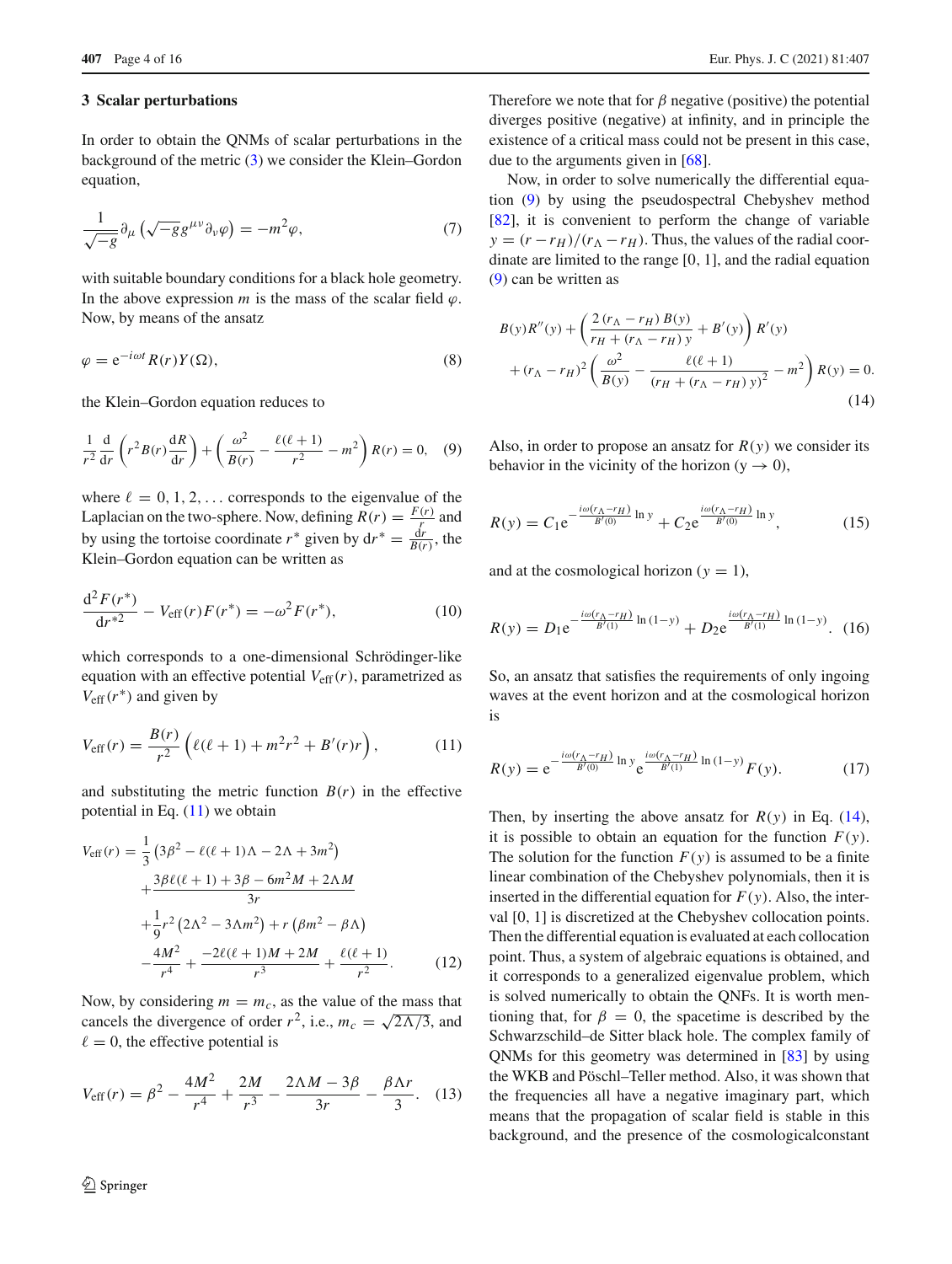### <span id="page-3-0"></span>**3 Scalar perturbations**

In order to obtain the QNMs of scalar perturbations in the background of the metric [\(3\)](#page-2-1) we consider the Klein–Gordon equation,

$$
\frac{1}{\sqrt{-g}}\partial_{\mu}\left(\sqrt{-g}g^{\mu\nu}\partial_{\nu}\varphi\right) = -m^2\varphi,\tag{7}
$$

with suitable boundary conditions for a black hole geometry. In the above expression  $m$  is the mass of the scalar field  $\varphi$ . Now, by means of the ansatz

$$
\varphi = e^{-i\omega t} R(r) Y(\Omega),\tag{8}
$$

<span id="page-3-2"></span>the Klein–Gordon equation reduces to

$$
\frac{1}{r^2}\frac{\mathrm{d}}{\mathrm{d}r}\left(r^2B(r)\frac{\mathrm{d}R}{\mathrm{d}r}\right) + \left(\frac{\omega^2}{B(r)} - \frac{\ell(\ell+1)}{r^2} - m^2\right)R(r) = 0,\quad (9)
$$

where  $\ell = 0, 1, 2, \ldots$  corresponds to the eigenvalue of the Laplacian on the two-sphere. Now, defining  $R(r) = \frac{F(r)}{r}$  and by using the tortoise coordinate  $r^*$  given by  $dr^* = \frac{dr}{B(r)}$ , the Klein–Gordon equation can be written as

$$
\frac{d^2 F(r^*)}{dr^{*2}} - V_{\text{eff}}(r) F(r^*) = -\omega^2 F(r^*),\tag{10}
$$

<span id="page-3-1"></span>which corresponds to a one-dimensional Schrödinger-like equation with an effective potential  $V_{\text{eff}}(r)$ , parametrized as  $V_{\text{eff}}(r^*)$  and given by

$$
V_{\text{eff}}(r) = \frac{B(r)}{r^2} \left( \ell(\ell+1) + m^2 r^2 + B'(r)r \right),\tag{11}
$$

and substituting the metric function  $B(r)$  in the effective potential in Eq.  $(11)$  we obtain

$$
V_{\text{eff}}(r) = \frac{1}{3} \left( 3\beta^2 - \ell(\ell+1)\Lambda - 2\Lambda + 3m^2 \right) + \frac{3\beta\ell(\ell+1) + 3\beta - 6m^2M + 2\Lambda M}{3r} + \frac{1}{9}r^2 \left( 2\Lambda^2 - 3\Lambda m^2 \right) + r \left( \beta m^2 - \beta \Lambda \right) - \frac{4M^2}{r^4} + \frac{-2\ell(\ell+1)M + 2M}{r^3} + \frac{\ell(\ell+1)}{r^2}.
$$
 (12)

Now, by considering  $m = m_c$ , as the value of the mass that cancels the divergence of order  $r^2$ , i.e.,  $m_c = \sqrt{2\Lambda/3}$ , and  $\ell = 0$ , the effective potential is

$$
V_{\text{eff}}(r) = \beta^2 - \frac{4M^2}{r^4} + \frac{2M}{r^3} - \frac{2\Lambda M - 3\beta}{3r} - \frac{\beta\Lambda r}{3}.
$$
 (13)

Therefore we note that for  $\beta$  negative (positive) the potential diverges positive (negative) at infinity, and in principle the existence of a critical mass could not be present in this case, due to the arguments given in [\[68\]](#page-14-17).

Now, in order to solve numerically the differential equation [\(9\)](#page-3-2) by using the pseudospectral Chebyshev method [\[82](#page-15-2)], it is convenient to perform the change of variable  $y = (r - r_H)/(r_A - r_H)$ . Thus, the values of the radial coordinate are limited to the range [0, 1], and the radial equation [\(9\)](#page-3-2) can be written as

<span id="page-3-3"></span>
$$
B(y)R''(y) + \left(\frac{2(r_{\Lambda} - r_{H}) B(y)}{r_{H} + (r_{\Lambda} - r_{H}) y} + B'(y)\right) R'(y) + (r_{\Lambda} - r_{H})^{2} \left(\frac{\omega^{2}}{B(y)} - \frac{\ell(\ell + 1)}{(r_{H} + (r_{\Lambda} - r_{H}) y)^{2}} - m^{2}\right) R(y) = 0.
$$
\n(14)

Also, in order to propose an ansatz for  $R(y)$  we consider its behavior in the vicinity of the horizon (y  $\rightarrow$  0),

$$
R(y) = C_1 e^{-\frac{i\omega(r_{\Lambda} - r_H)}{B'(0)} \ln y} + C_2 e^{\frac{i\omega(r_{\Lambda} - r_H)}{B'(0)} \ln y},
$$
(15)

and at the cosmological horizon  $(y = 1)$ ,

$$
R(y) = D_1 e^{-\frac{i\omega(r_{\Lambda} - r_H)}{B'(1)}} \ln(1 - y) + D_2 e^{\frac{i\omega(r_{\Lambda} - r_H)}{B'(1)}} \ln(1 - y).
$$
 (16)

So, an ansatz that satisfies the requirements of only ingoing waves at the event horizon and at the cosmological horizon is

$$
R(y) = e^{-\frac{i\omega(r_{\Lambda} - r_H)}{B'(0)}} \ln y e^{\frac{i\omega(r_{\Lambda} - r_H)}{B'(1)}} \ln(1 - y) F(y).
$$
 (17)

Then, by inserting the above ansatz for  $R(y)$  in Eq. [\(14\)](#page-3-3), it is possible to obtain an equation for the function  $F(y)$ . The solution for the function  $F(y)$  is assumed to be a finite linear combination of the Chebyshev polynomials, then it is inserted in the differential equation for  $F(y)$ . Also, the interval [0, 1] is discretized at the Chebyshev collocation points. Then the differential equation is evaluated at each collocation point. Thus, a system of algebraic equations is obtained, and it corresponds to a generalized eigenvalue problem, which is solved numerically to obtain the QNFs. It is worth mentioning that, for  $\beta = 0$ , the spacetime is described by the Schwarzschild–de Sitter black hole. The complex family of QNMs for this geometry was determined in [\[83](#page-15-3)] by using the WKB and Pöschl–Teller method. Also, it was shown that the frequencies all have a negative imaginary part, which means that the propagation of scalar field is stable in this background, and the presence of the cosmologicalconstant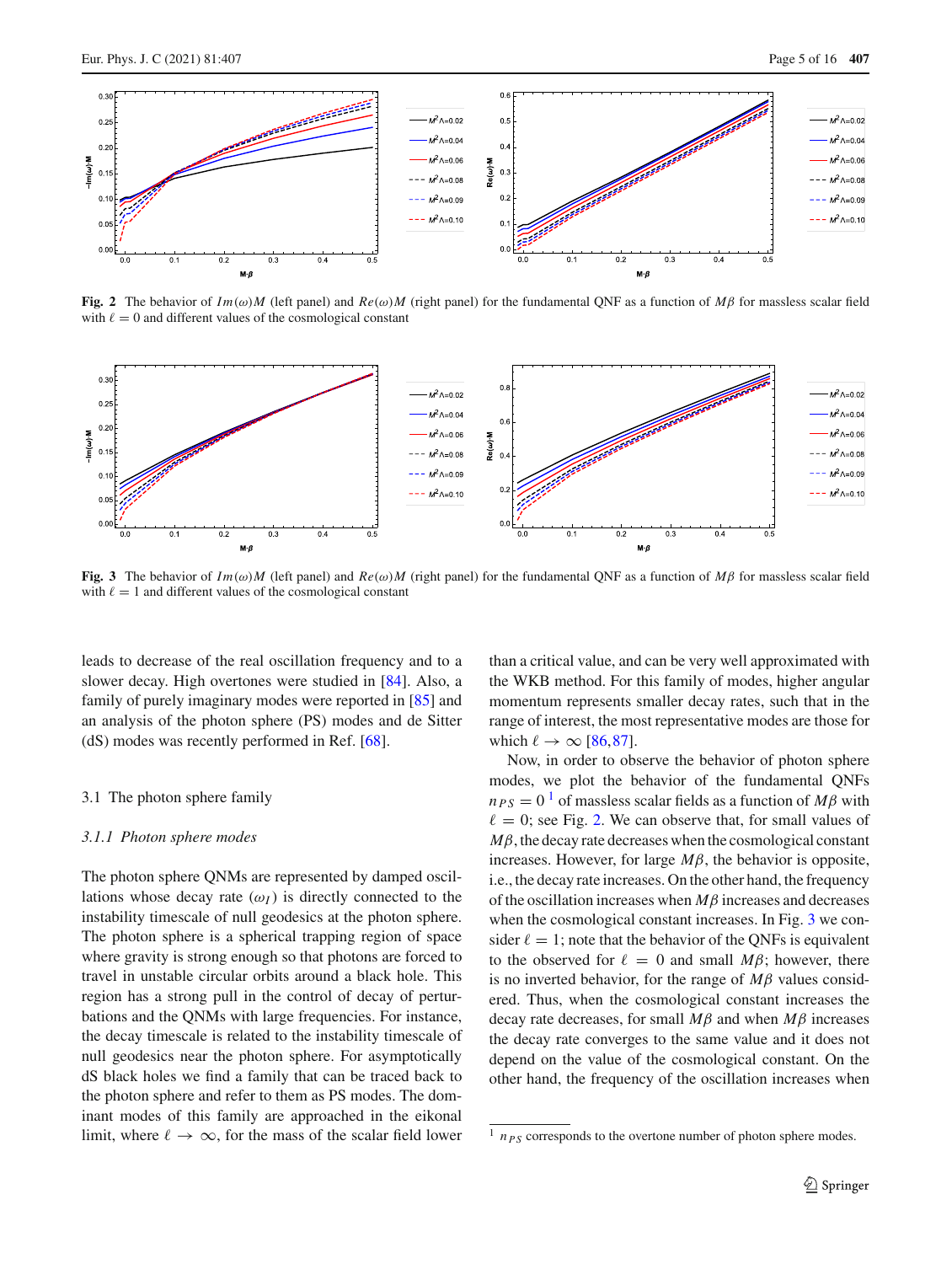

<span id="page-4-3"></span>**Fig. 2** The behavior of *Im(ω)M* (left panel) and  $Re(\omega)M$  (right panel) for the fundamental QNF as a function of  $M\beta$  for massless scalar field with  $\ell = 0$  and different values of the cosmological constant



<span id="page-4-4"></span>**Fig. 3** The behavior of  $Im(\omega)M$  (left panel) and  $Re(\omega)M$  (right panel) for the fundamental QNF as a function of  $M\beta$  for massless scalar field with  $\ell = 1$  and different values of the cosmological constant

leads to decrease of the real oscillation frequency and to a slower decay. High overtones were studied in [\[84](#page-15-4)]. Also, a family of purely imaginary modes were reported in [\[85](#page-15-5)] and an analysis of the photon sphere (PS) modes and de Sitter (dS) modes was recently performed in Ref. [\[68\]](#page-14-17).

#### <span id="page-4-0"></span>3.1 The photon sphere family

### <span id="page-4-1"></span>*3.1.1 Photon sphere modes*

The photon sphere QNMs are represented by damped oscillations whose decay rate  $(\omega_I)$  is directly connected to the instability timescale of null geodesics at the photon sphere. The photon sphere is a spherical trapping region of space where gravity is strong enough so that photons are forced to travel in unstable circular orbits around a black hole. This region has a strong pull in the control of decay of perturbations and the QNMs with large frequencies. For instance, the decay timescale is related to the instability timescale of null geodesics near the photon sphere. For asymptotically dS black holes we find a family that can be traced back to the photon sphere and refer to them as PS modes. The dominant modes of this family are approached in the eikonal limit, where  $\ell \to \infty$ , for the mass of the scalar field lower than a critical value, and can be very well approximated with the WKB method. For this family of modes, higher angular momentum represents smaller decay rates, such that in the range of interest, the most representative modes are those for which  $\ell \rightarrow \infty$  [\[86](#page-15-6)[,87](#page-15-7)].

Now, in order to observe the behavior of photon sphere modes, we plot the behavior of the fundamental QNFs  $n_{PS} = 0<sup>1</sup>$  $n_{PS} = 0<sup>1</sup>$  $n_{PS} = 0<sup>1</sup>$  of massless scalar fields as a function of *M* $\beta$  with  $\ell = 0$ ; see Fig. [2.](#page-4-3) We can observe that, for small values of  $M\beta$ , the decay rate decreases when the cosmological constant increases. However, for large *M*β, the behavior is opposite, i.e., the decay rate increases. On the other hand, the frequency of the oscillation increases when *M*β increases and decreases when the cosmological constant increases. In Fig. [3](#page-4-4) we consider  $\ell = 1$ ; note that the behavior of the QNFs is equivalent to the observed for  $\ell = 0$  and small  $M\beta$ ; however, there is no inverted behavior, for the range of *M*β values considered. Thus, when the cosmological constant increases the decay rate decreases, for small *M*β and when *M*β increases the decay rate converges to the same value and it does not depend on the value of the cosmological constant. On the other hand, the frequency of the oscillation increases when

<span id="page-4-2"></span> $\frac{1}{n_{PS}}$  corresponds to the overtone number of photon sphere modes.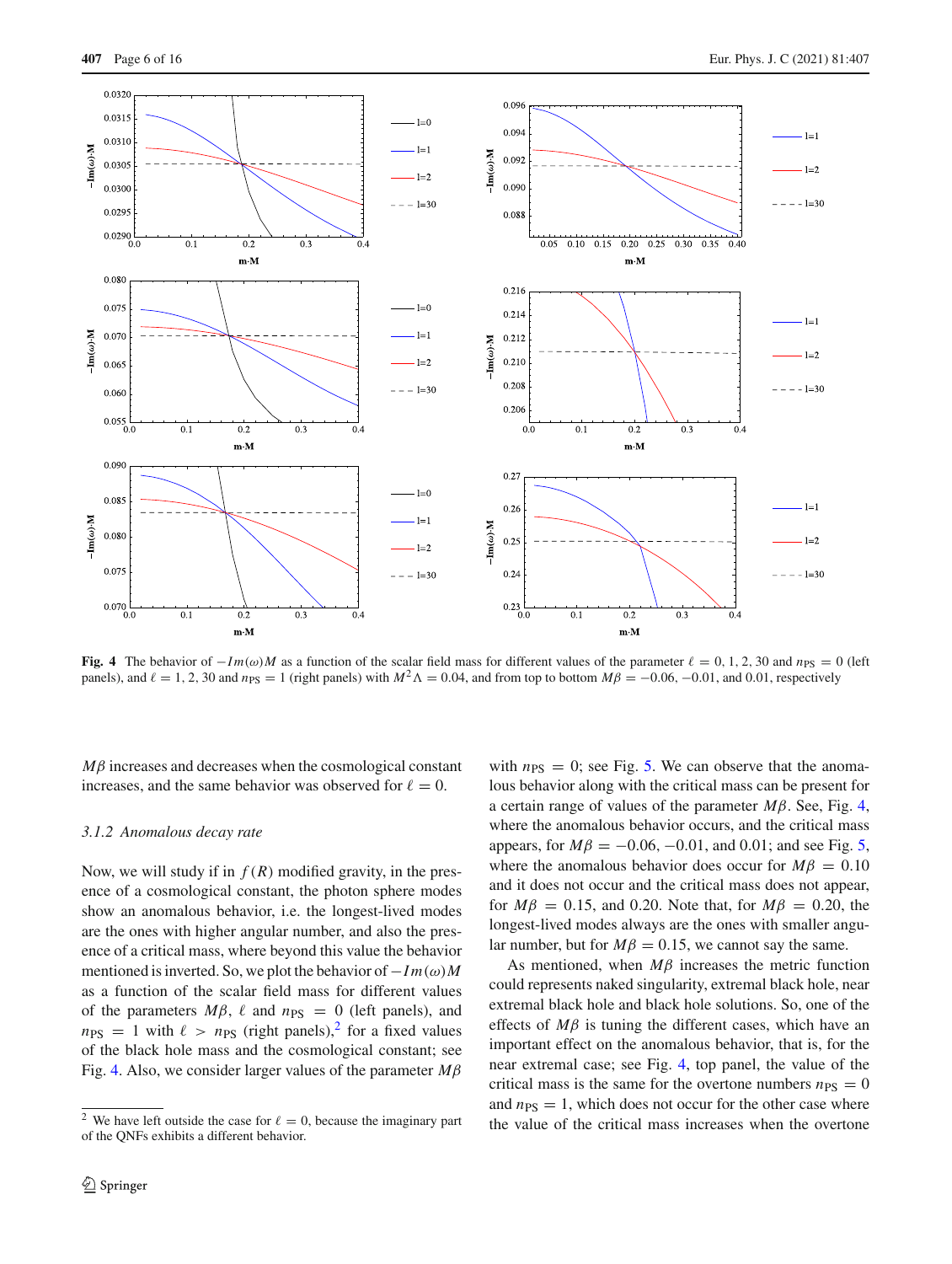

<span id="page-5-2"></span>**Fig. 4** The behavior of  $-Im(\omega)M$  as a function of the scalar field mass for different values of the parameter  $\ell = 0, 1, 2, 30$  and  $n_{\text{PS}} = 0$  (left panels), and  $\ell = 1, 2, 30$  and  $n_{PS} = 1$  (right panels) with  $M^2 \Lambda = 0.04$ , and from top to bottom  $M\beta = -0.06, -0.01$ , and 0.01, respectively

*M*β increases and decreases when the cosmological constant increases, and the same behavior was observed for  $\ell = 0$ .

## <span id="page-5-0"></span>*3.1.2 Anomalous decay rate*

Now, we will study if in  $f(R)$  modified gravity, in the presence of a cosmological constant, the photon sphere modes show an anomalous behavior, i.e. the longest-lived modes are the ones with higher angular number, and also the presence of a critical mass, where beyond this value the behavior mentioned is inverted. So, we plot the behavior of −*I m*(ω)*M* as a function of the scalar field mass for different values of the parameters  $M\beta$ ,  $\ell$  and  $n_{PS} = 0$  (left panels), and  $n_{PS}$  = 1 with  $\ell > n_{PS}$  (right panels),<sup>[2](#page-5-1)</sup> for a fixed values of the black hole mass and the cosmological constant; see Fig. [4.](#page-5-2) Also, we consider larger values of the parameter *M*β

with  $n_{PS} = 0$ ; see Fig. [5.](#page-6-1) We can observe that the anomalous behavior along with the critical mass can be present for a certain range of values of the parameter *M*β. See, Fig. [4,](#page-5-2) where the anomalous behavior occurs, and the critical mass appears, for  $M\beta = -0.06, -0.01,$  and 0.01; and see Fig. [5,](#page-6-1) where the anomalous behavior does occur for  $M\beta = 0.10$ and it does not occur and the critical mass does not appear, for  $M\beta = 0.15$ , and 0.20. Note that, for  $M\beta = 0.20$ , the longest-lived modes always are the ones with smaller angular number, but for  $M\beta = 0.15$ , we cannot say the same.

As mentioned, when *M*β increases the metric function could represents naked singularity, extremal black hole, near extremal black hole and black hole solutions. So, one of the effects of *M*β is tuning the different cases, which have an important effect on the anomalous behavior, that is, for the near extremal case; see Fig. [4,](#page-5-2) top panel, the value of the critical mass is the same for the overtone numbers  $n_{PS} = 0$ and  $n_{PS} = 1$ , which does not occur for the other case where the value of the critical mass increases when the overtone

<span id="page-5-1"></span><sup>&</sup>lt;sup>2</sup> We have left outside the case for  $\ell = 0$ , because the imaginary part of the QNFs exhibits a different behavior.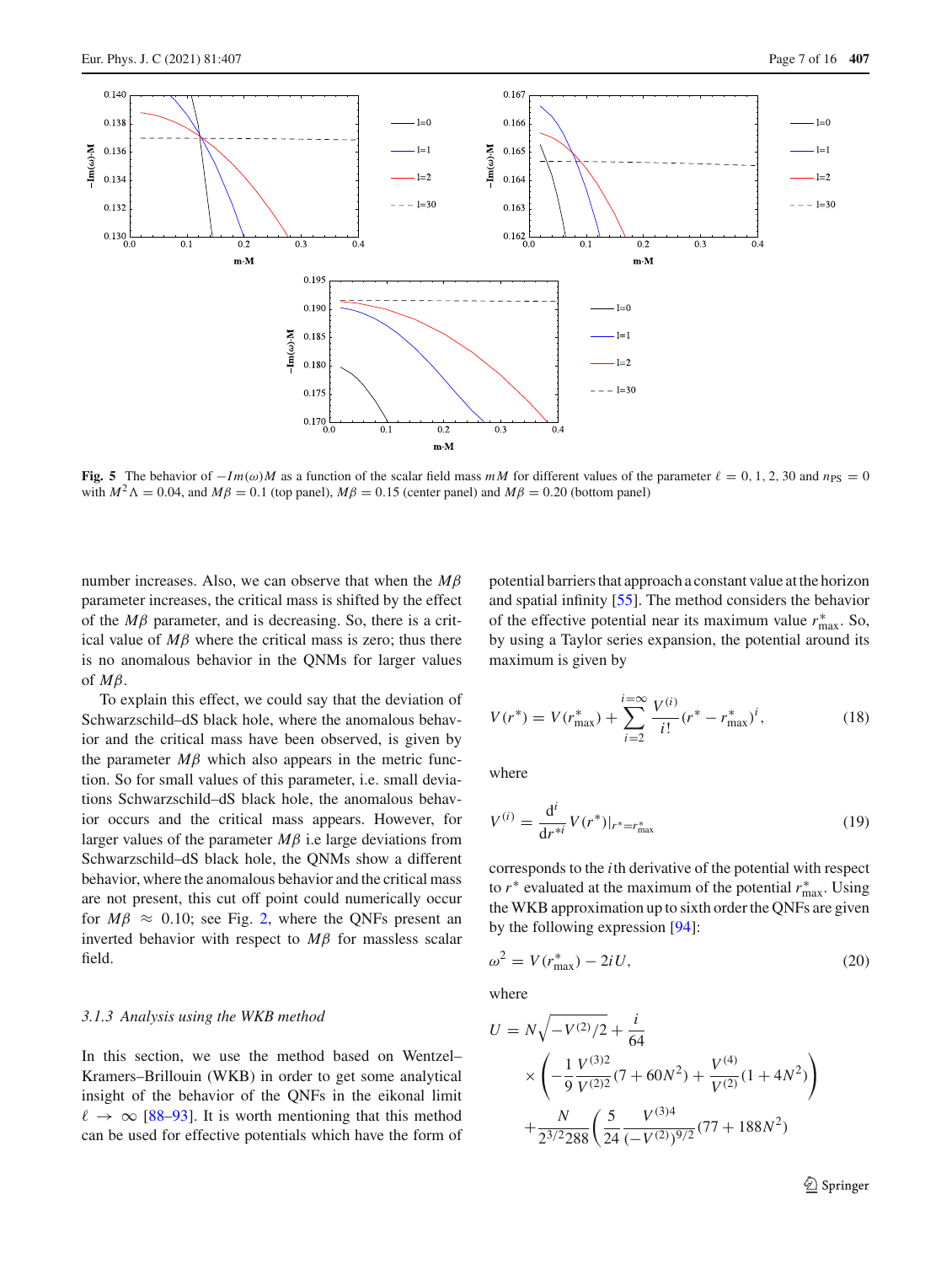

<span id="page-6-1"></span>**Fig. 5** The behavior of  $-Im(\omega)M$  as a function of the scalar field mass  $mM$  for different values of the parameter  $\ell = 0, 1, 2, 30$  and  $n_{PS} = 0$ with  $M^2 \Lambda = 0.04$ , and  $M\beta = 0.1$  (top panel),  $M\beta = 0.15$  (center panel) and  $M\beta = 0.20$  (bottom panel)

number increases. Also, we can observe that when the *M*β parameter increases, the critical mass is shifted by the effect of the  $M\beta$  parameter, and is decreasing. So, there is a critical value of  $M\beta$  where the critical mass is zero; thus there is no anomalous behavior in the QNMs for larger values of *M*β.

To explain this effect, we could say that the deviation of Schwarzschild–dS black hole, where the anomalous behavior and the critical mass have been observed, is given by the parameter  $M\beta$  which also appears in the metric function. So for small values of this parameter, i.e. small deviations Schwarzschild–dS black hole, the anomalous behavior occurs and the critical mass appears. However, for larger values of the parameter  $M\beta$  i.e large deviations from Schwarzschild–dS black hole, the QNMs show a different behavior, where the anomalous behavior and the critical mass are not present, this cut off point could numerically occur for  $M\beta \approx 0.10$ ; see Fig. [2,](#page-4-3) where the QNFs present an inverted behavior with respect to *M*β for massless scalar field.

## <span id="page-6-0"></span>*3.1.3 Analysis using the WKB method*

In this section, we use the method based on Wentzel– Kramers–Brillouin (WKB) in order to get some analytical insight of the behavior of the QNFs in the eikonal limit  $\ell \rightarrow \infty$  [\[88](#page-15-8)[–93\]](#page-15-9). It is worth mentioning that this method can be used for effective potentials which have the form of potential barriers that approach a constant value at the horizon and spatial infinity [\[55](#page-14-9)]. The method considers the behavior of the effective potential near its maximum value  $r_{\text{max}}^*$ . So, by using a Taylor series expansion, the potential around its maximum is given by

$$
V(r^*) = V(r^*_{\text{max}}) + \sum_{i=2}^{i=\infty} \frac{V^{(i)}}{i!} (r^* - r^*_{\text{max}})^i,
$$
 (18)

where

$$
V^{(i)} = \frac{\mathrm{d}^i}{\mathrm{d}r^{*i}} V(r^*)|_{r^* = r^*_{\text{max}}} \tag{19}
$$

corresponds to the *i*th derivative of the potential with respect to  $r^*$  evaluated at the maximum of the potential  $r^*_{\text{max}}$ . Using the WKB approximation up to sixth order the QNFs are given by the following expression [\[94](#page-15-10)]:

<span id="page-6-2"></span>
$$
\omega^2 = V(r_{\text{max}}^*) - 2iU,\tag{20}
$$

where

$$
U = N\sqrt{-V^{(2)}/2} + \frac{i}{64}
$$
  
 
$$
\times \left( -\frac{1}{9} \frac{V^{(3)2}}{V^{(2)2}} (7 + 60N^2) + \frac{V^{(4)}}{V^{(2)}} (1 + 4N^2) \right)
$$
  
 
$$
+ \frac{N}{2^{3/2} 288} \left( \frac{5}{24} \frac{V^{(3)4}}{(-V^{(2)})^{9/2}} (77 + 188N^2) \right)
$$

<sup>2</sup> Springer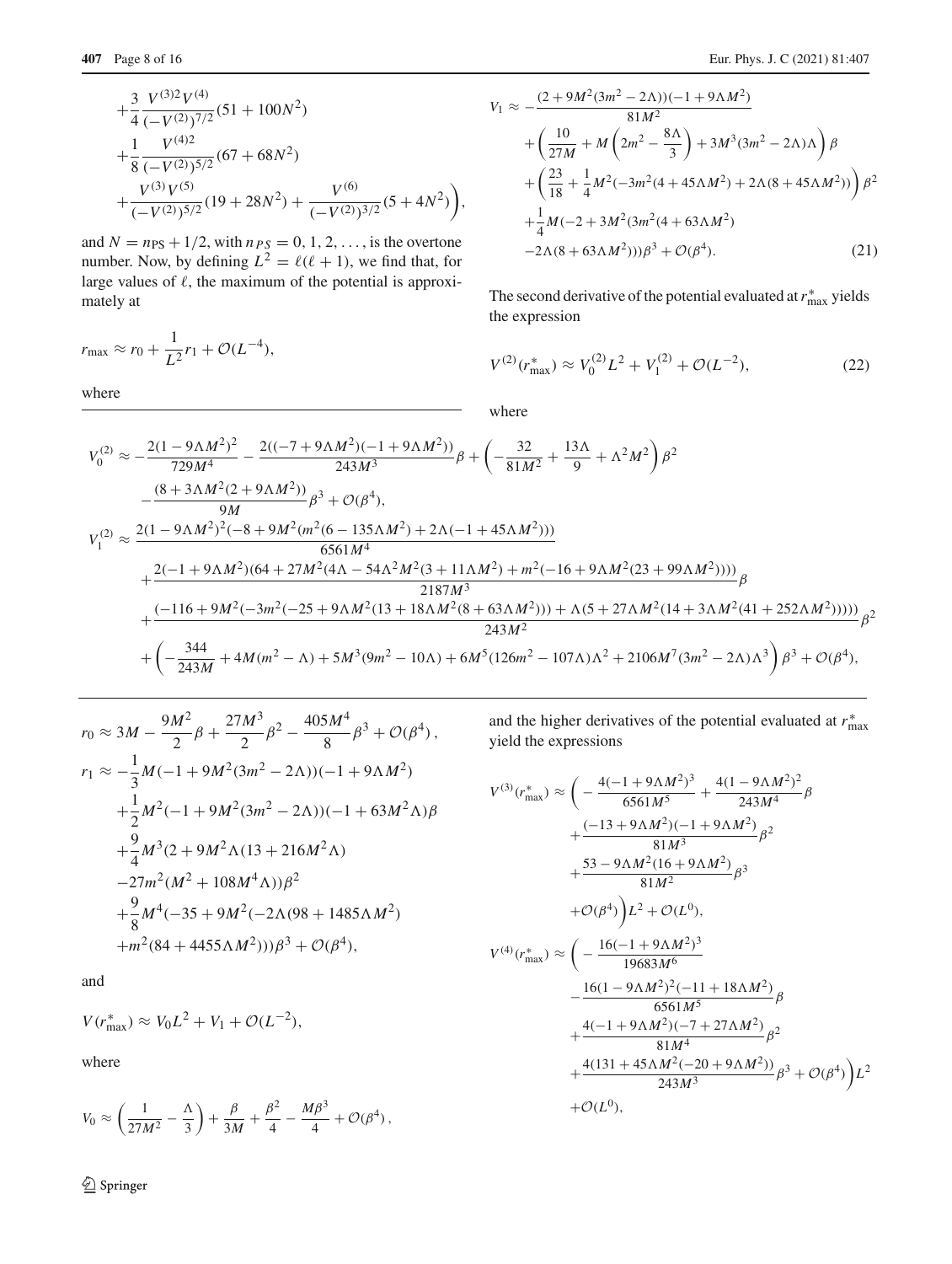$$
+\frac{3}{4} \frac{V^{(3)2}V^{(4)}}{(-V^{(2)})^{7/2}} (51+100N^2) +\frac{1}{8} \frac{V^{(4)2}}{(-V^{(2)})^{5/2}} (67+68N^2) +\frac{V^{(3)}V^{(5)}}{(-V^{(2)})^{5/2}} (19+28N^2)+\frac{V^{(6)}}{(-V^{(2)})^{3/2}} (5+4N^2)\bigg),
$$

and  $N = n_{PS} + 1/2$ , with  $n_{PS} = 0, 1, 2, \ldots$ , is the overtone number. Now, by defining  $L^2 = \ell(\ell + 1)$ , we find that, for large values of  $\ell$ , the maximum of the potential is approximately at

$$
r_{\text{max}} \approx r_0 + \frac{1}{L^2}r_1 + \mathcal{O}(L^{-4}),
$$

where

$$
V_1 \approx -\frac{(2+9M^2(3m^2-2\Lambda))(-1+9\Lambda M^2)}{81M^2} + \left(\frac{10}{27M} + M\left(2m^2 - \frac{8\Lambda}{3}\right) + 3M^3(3m^2 - 2\Lambda)\Lambda\right)\beta + \left(\frac{23}{18} + \frac{1}{4}M^2(-3m^2(4+45\Lambda M^2) + 2\Lambda(8+45\Lambda M^2))\right)\beta^2 + \frac{1}{4}M(-2+3M^2(3m^2(4+63\Lambda M^2)) -2\Lambda(8+63\Lambda M^2))\beta^3 + \mathcal{O}(\beta^4).
$$
 (21)

The second derivative of the potential evaluated at  $r_{\text{max}}^*$  yields the expression

$$
V^{(2)}(r_{\text{max}}^*) \approx V_0^{(2)} L^2 + V_1^{(2)} + \mathcal{O}(L^{-2}),\tag{22}
$$

where

$$
V_0^{(2)} \approx -\frac{2(1 - 9\Lambda M^2)^2}{729M^4} - \frac{2((-7 + 9\Lambda M^2)(-1 + 9\Lambda M^2))}{243M^3} \beta + \left(-\frac{32}{81M^2} + \frac{13\Lambda}{9} + \Lambda^2 M^2\right) \beta^2
$$
  
\n
$$
-\frac{(8 + 3\Lambda M^2(2 + 9\Lambda M^2))}{9M} \beta^3 + \mathcal{O}(\beta^4),
$$
  
\n
$$
V_1^{(2)} \approx \frac{2(1 - 9\Lambda M^2)^2(-8 + 9M^2(m^2(6 - 135\Lambda M^2) + 2\Lambda(-1 + 45\Lambda M^2)))}{6561M^4}
$$
  
\n
$$
+\frac{2(-1 + 9\Lambda M^2)(64 + 27M^2(4\Lambda - 54\Lambda^2M^2(3 + 11\Lambda M^2) + m^2(-16 + 9\Lambda M^2(23 + 99\Lambda M^2))))}{2187M^3} \beta
$$
  
\n
$$
+\frac{(-116 + 9M^2(-3m^2(-25 + 9\Lambda M^2(13 + 18\Lambda M^2(8 + 63\Lambda M^2))) + \Lambda(5 + 27\Lambda M^2(14 + 3\Lambda M^2(41 + 252\Lambda M^2))))}{243M^2} \beta^2
$$
  
\n
$$
+\left(-\frac{344}{243M} + 4M(m^2 - \Lambda) + 5M^3(9m^2 - 10\Lambda) + 6M^5(126m^2 - 107\Lambda)\Lambda^2 + 2106M^7(3m^2 - 2\Lambda)\Lambda^3\right) \beta^3 + \mathcal{O}(\beta^4),
$$

$$
r_0 \approx 3M - \frac{9M^2}{2}\beta + \frac{27M^3}{2}\beta^2 - \frac{405M^4}{8}\beta^3 + \mathcal{O}(\beta^4),
$$
  
\n
$$
r_1 \approx -\frac{1}{3}M(-1 + 9M^2(3m^2 - 2\Lambda))(-1 + 9\Lambda M^2)
$$
  
\n
$$
+\frac{1}{2}M^2(-1 + 9M^2(3m^2 - 2\Lambda))(-1 + 63M^2\Lambda)\beta
$$
  
\n
$$
+\frac{9}{4}M^3(2 + 9M^2\Lambda(13 + 216M^2\Lambda))
$$
  
\n
$$
-27m^2(M^2 + 108M^4\Lambda))\beta^2
$$
  
\n
$$
+\frac{9}{8}M^4(-35 + 9M^2(-2\Lambda(98 + 1485\Lambda M^2))
$$
  
\n
$$
+m^2(84 + 4455\Lambda M^2)))\beta^3 + \mathcal{O}(\beta^4),
$$

and

$$
V(r_{\text{max}}^*) \approx V_0 L^2 + V_1 + \mathcal{O}(L^{-2}),
$$

where

$$
V_0 \approx \left(\frac{1}{27M^2} - \frac{\Lambda}{3}\right) + \frac{\beta}{3M} + \frac{\beta^2}{4} - \frac{M\beta^3}{4} + \mathcal{O}(\beta^4) \,,
$$

<sup>2</sup> Springer

and the higher derivatives of the potential evaluated at  $r_{\text{max}}^*$ yield the expressions

$$
V^{(3)}(r_{\text{max}}^{*}) \approx \left(-\frac{4(-1+9\Lambda M^{2})^{3}}{6561M^{5}} + \frac{4(1-9\Lambda M^{2})^{2}}{243M^{4}}\beta + \frac{(-13+9\Lambda M^{2})(-1+9\Lambda M^{2})}{81M^{3}}\beta^{2} + \frac{53-9\Lambda M^{2}(16+9\Lambda M^{2})}{81M^{2}}\beta^{3} + \mathcal{O}(\beta^{4})\right)L^{2} + \mathcal{O}(L^{0}),
$$
\n
$$
V^{(4)}(r_{\text{max}}^{*}) \approx \left(-\frac{16(-1+9\Lambda M^{2})^{3}}{19683M^{6}} - \frac{16(1-9\Lambda M^{2})^{2}(-11+18\Lambda M^{2})}{6561M^{5}}\beta + \frac{4(-1+9\Lambda M^{2})(-7+27\Lambda M^{2})}{81M^{4}}\beta^{2} + \frac{4(131+45\Lambda M^{2}(-20+9\Lambda M^{2}))}{243M^{3}}\beta^{3} + \mathcal{O}(\beta^{4})\right)L^{2} + \mathcal{O}(L^{0}),
$$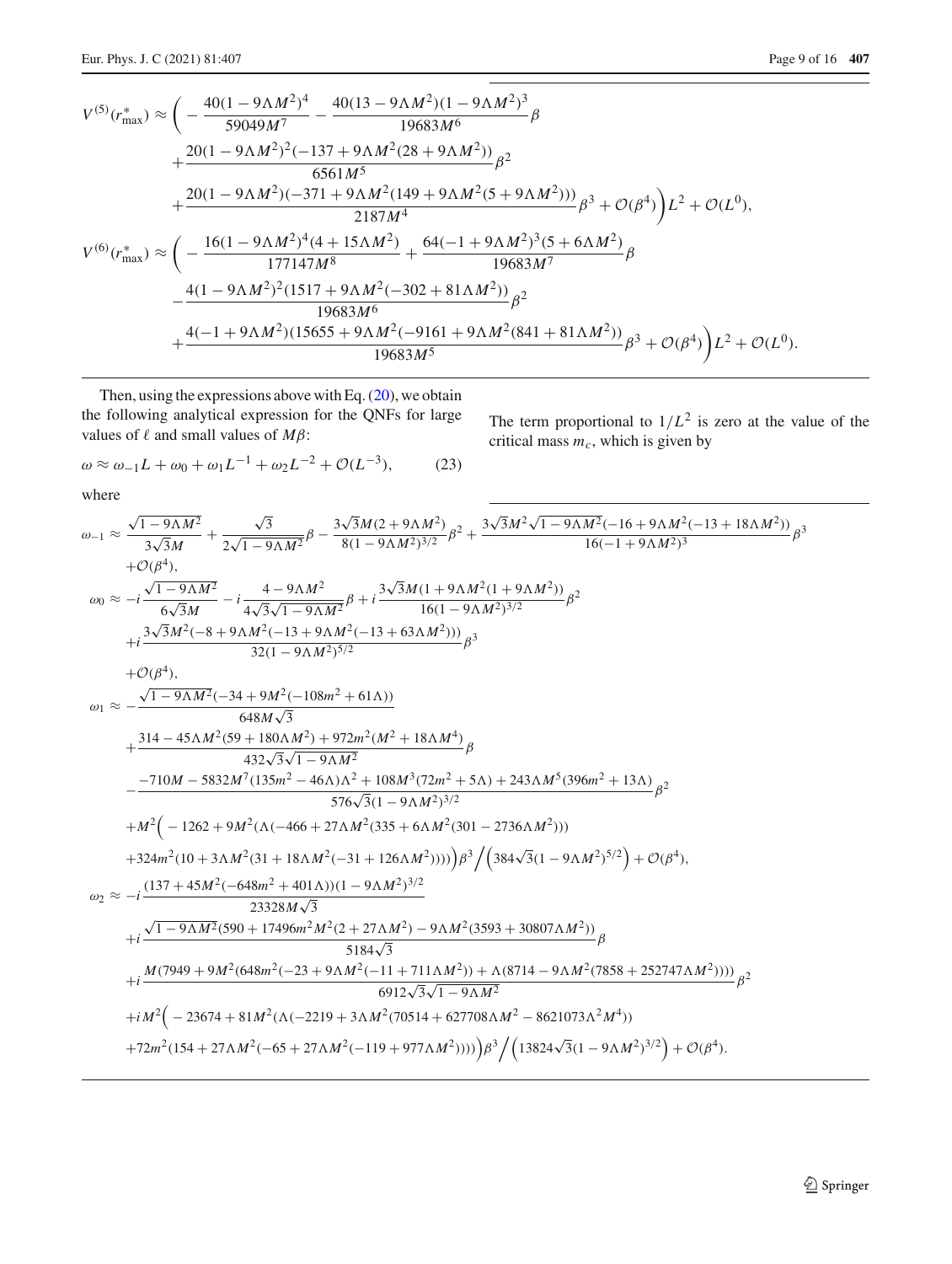The term proportional to  $1/L^2$  is zero at the value of the

critical mass  $m_c$ , which is given by

$$
V^{(5)}(r_{\text{max}}^{*}) \approx \left(-\frac{40(1-9\Lambda M^{2})^{4}}{59049M^{7}} - \frac{40(13-9\Lambda M^{2})(1-9\Lambda M^{2})^{3}}{19683M^{6}}\beta + \frac{20(1-9\Lambda M^{2})^{2}(-137+9\Lambda M^{2}(28+9\Lambda M^{2}))}{6561M^{5}}\beta^{2} + \frac{20(1-9\Lambda M^{2})(-371+9\Lambda M^{2}(149+9\Lambda M^{2}(5+9\Lambda M^{2})))}{2187M^{4}}\beta^{3} + \mathcal{O}(\beta^{4})\right)L^{2} + \mathcal{O}(L^{0}),
$$
  

$$
V^{(6)}(r_{\text{max}}^{*}) \approx \left(-\frac{16(1-9\Lambda M^{2})^{4}(4+15\Lambda M^{2})}{177147M^{8}} + \frac{64(-1+9\Lambda M^{2})^{3}(5+6\Lambda M^{2})}{19683M^{7}}\beta^{4} + \frac{4(1-9\Lambda M^{2})^{2}(1517+9\Lambda M^{2}(-302+81\Lambda M^{2}))}{19683M^{6}}\beta^{2} + \frac{4(-1+9\Lambda M^{2})(15655+9\Lambda M^{2}(-9161+9\Lambda M^{2}(841+81\Lambda M^{2}))}{19683M^{5}}\beta^{3} + \mathcal{O}(\beta^{4})\right)L^{2} + \mathcal{O}(L^{0}).
$$

Then, using the expressions above with Eq.  $(20)$ , we obtain the following analytical expression for the QNFs for large values of  $\ell$  and small values of  $M\beta$ :

<span id="page-8-0"></span>
$$
\omega \approx \omega_{-1}L + \omega_0 + \omega_1 L^{-1} + \omega_2 L^{-2} + \mathcal{O}(L^{-3}),\tag{23}
$$

where

$$
\omega_{-1} \approx \frac{\sqrt{1-9\Lambda M^2}}{3\sqrt{3}M} + \frac{\sqrt{3}}{2\sqrt{1-9\Lambda M^2}} \beta - \frac{3\sqrt{3}M(2+9\Lambda M^2)}{8(1-9\Lambda M^2)^{3/2}} \beta^2 + \frac{3\sqrt{3}M^2\sqrt{1-9\Lambda M^2}(-16+9\Lambda M^2(-13+18\Lambda M^2))}{16(-1+9\Lambda M^2)^3} \beta^3
$$
  
\n
$$
+O(\beta^4),
$$
  
\n
$$
\omega_0 \approx -i\frac{\sqrt{1-9\Lambda M^2}}{6\sqrt{3}M} - i\frac{4-9\Lambda M^2}{4\sqrt{3}\sqrt{1-9\Lambda M^2}} \beta + i\frac{3\sqrt{3}M(1+9\Lambda M^2(1+9\Lambda M^2))}{16(1-9\Lambda M^2)^{3/2}} \beta^2
$$
  
\n
$$
+i\frac{3\sqrt{3}M^2(-8+9\Lambda M^2(-13+9\Lambda M^2(-13+63\Lambda M^2)))}{32(1-9\Lambda M^2)^{5/2}} \beta^3
$$
  
\n
$$
+O(\beta^4),
$$
  
\n
$$
\omega_1 \approx \frac{\sqrt{1-9\Lambda M^2}(-34+9M^2(-108m^2+61\Lambda))}{648M\sqrt{3}}
$$
  
\n
$$
+ \frac{314-45\Lambda M^2(59+180\Lambda M^2)+972m^2(M^2+18\Lambda M^4)}{432\sqrt{3}\sqrt{1-9\Lambda M^2}}
$$
  
\n
$$
- \frac{-710M-5832M^7(135m^2-46\Lambda)\Lambda^2+108M^3(72m^2+5\Lambda)+243\Lambda M^5(396m^2+13\Lambda)}{576\sqrt{3}(1-9\Lambda M^2)^{3/2}}
$$
  
\n
$$
+M^2(-1262+9M^2(\Lambda(-466+27\Lambda M^2(335+6\Lambda M^2(301-2736\Lambda M^2)))
$$
  
\n+324m<sup>2</sup>(10+3\Lambda M^2(31+18\Lambda M^2(-31+1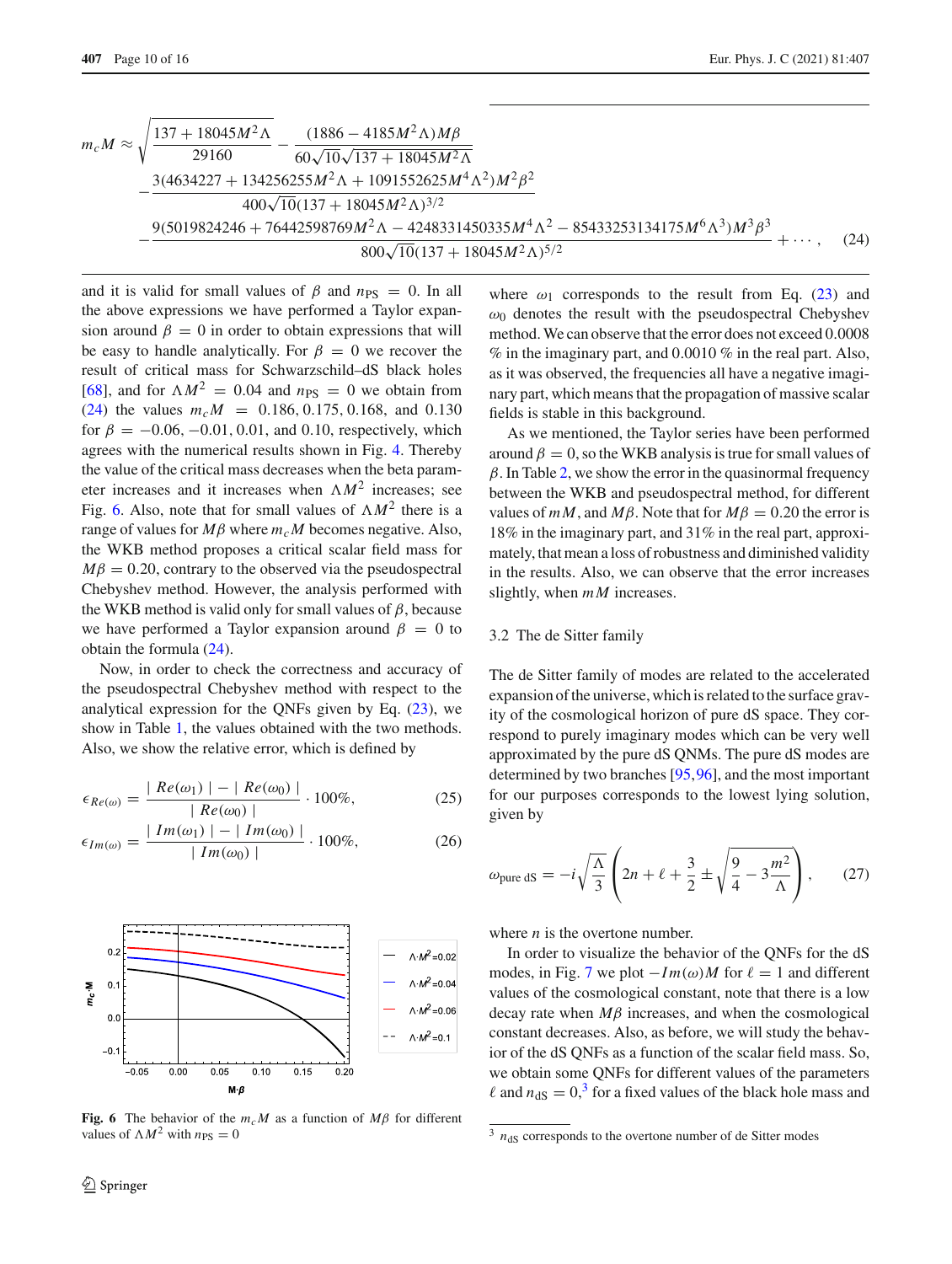<span id="page-9-1"></span>
$$
m_c M \approx \sqrt{\frac{137 + 18045M^2\Lambda}{29160} - \frac{(1886 - 4185M^2\Lambda)M\beta}{60\sqrt{10}\sqrt{137 + 18045M^2\Lambda}} - \frac{3(4634227 + 134256255M^2\Lambda + 1091552625M^4\Lambda^2)M^2\beta^2}{400\sqrt{10}(137 + 18045M^2\Lambda)^{3/2}} - \frac{9(5019824246 + 76442598769M^2\Lambda - 4248331450335M^4\Lambda^2 - 85433253134175M^6\Lambda^3)M^3\beta^3}{800\sqrt{10}(137 + 18045M^2\Lambda)^{5/2}} + \cdots, \quad (24)
$$

and it is valid for small values of  $\beta$  and  $n_{PS} = 0$ . In all the above expressions we have performed a Taylor expansion around  $\beta = 0$  in order to obtain expressions that will be easy to handle analytically. For  $\beta = 0$  we recover the result of critical mass for Schwarzschild–dS black holes [\[68](#page-14-17)], and for  $\Lambda M^2 = 0.04$  and  $n_{PS} = 0$  we obtain from [\(24\)](#page-9-1) the values  $m_c M = 0.186, 0.175, 0.168,$  and 0.130 for  $\beta = -0.06, -0.01, 0.01,$  and 0.10, respectively, which agrees with the numerical results shown in Fig. [4.](#page-5-2) Thereby the value of the critical mass decreases when the beta parameter increases and it increases when  $\Lambda M^2$  increases; see Fig. [6.](#page-9-2) Also, note that for small values of  $\Lambda M^2$  there is a range of values for  $M\beta$  where  $m_cM$  becomes negative. Also, the WKB method proposes a critical scalar field mass for  $M\beta = 0.20$ , contrary to the observed via the pseudospectral Chebyshev method. However, the analysis performed with the WKB method is valid only for small values of  $\beta$ , because we have performed a Taylor expansion around  $\beta = 0$  to obtain the formula [\(24\)](#page-9-1).

Now, in order to check the correctness and accuracy of the pseudospectral Chebyshev method with respect to the analytical expression for the QNFs given by Eq. [\(23\)](#page-8-0), we show in Table [1,](#page-10-1) the values obtained with the two methods. Also, we show the relative error, which is defined by

$$
\epsilon_{Re(\omega)} = \frac{|Re(\omega_1)| - |Re(\omega_0)|}{|Re(\omega_0)|} \cdot 100\%,
$$
 (25)

$$
\epsilon_{Im(\omega)} = \frac{|Im(\omega_1)| - |Im(\omega_0)|}{|Im(\omega_0)|} \cdot 100\%, \tag{26}
$$



<span id="page-9-2"></span>**Fig. 6** The behavior of the  $m_c M$  as a function of  $M\beta$  for different values of  $\Lambda M^2$  with  $n_{PS} = 0$ 

where  $\omega_1$  corresponds to the result from Eq. [\(23\)](#page-8-0) and  $\omega_0$  denotes the result with the pseudospectral Chebyshev method. We can observe that the error does not exceed 0.0008  $\%$  in the imaginary part, and 0.0010  $\%$  in the real part. Also, as it was observed, the frequencies all have a negative imaginary part, which means that the propagation of massive scalar fields is stable in this background.

As we mentioned, the Taylor series have been performed around  $\beta = 0$ , so the WKB analysis is true for small values of  $\beta$ . In Table [2,](#page-10-2) we show the error in the quasinormal frequency between the WKB and pseudospectral method, for different values of  $mM$ , and  $M\beta$ . Note that for  $M\beta = 0.20$  the error is 18% in the imaginary part, and 31% in the real part, approximately, that mean a loss of robustness and diminished validity in the results. Also, we can observe that the error increases slightly, when *mM* increases.

# <span id="page-9-0"></span>3.2 The de Sitter family

The de Sitter family of modes are related to the accelerated expansion of the universe, which is related to the surface gravity of the cosmological horizon of pure dS space. They correspond to purely imaginary modes which can be very well approximated by the pure dS QNMs. The pure dS modes are determined by two branches [\[95,](#page-15-11)[96\]](#page-15-12), and the most important for our purposes corresponds to the lowest lying solution, given by

$$
\omega_{\text{pure dS}} = -i\sqrt{\frac{\Lambda}{3}} \left( 2n + \ell + \frac{3}{2} \pm \sqrt{\frac{9}{4} - 3\frac{m^2}{\Lambda}} \right), \qquad (27)
$$

where *n* is the overtone number.

In order to visualize the behavior of the QNFs for the dS modes, in Fig. [7](#page-11-1) we plot  $-Im(\omega)M$  for  $\ell = 1$  and different values of the cosmological constant, note that there is a low decay rate when *M*β increases, and when the cosmological constant decreases. Also, as before, we will study the behavior of the dS QNFs as a function of the scalar field mass. So, we obtain some QNFs for different values of the parameters  $\ell$  and  $n_{\text{dS}} = 0$ ,<sup>[3](#page-9-3)</sup> for a fixed values of the black hole mass and

<span id="page-9-3"></span> $3$   $n_{\text{dS}}$  corresponds to the overtone number of de Sitter modes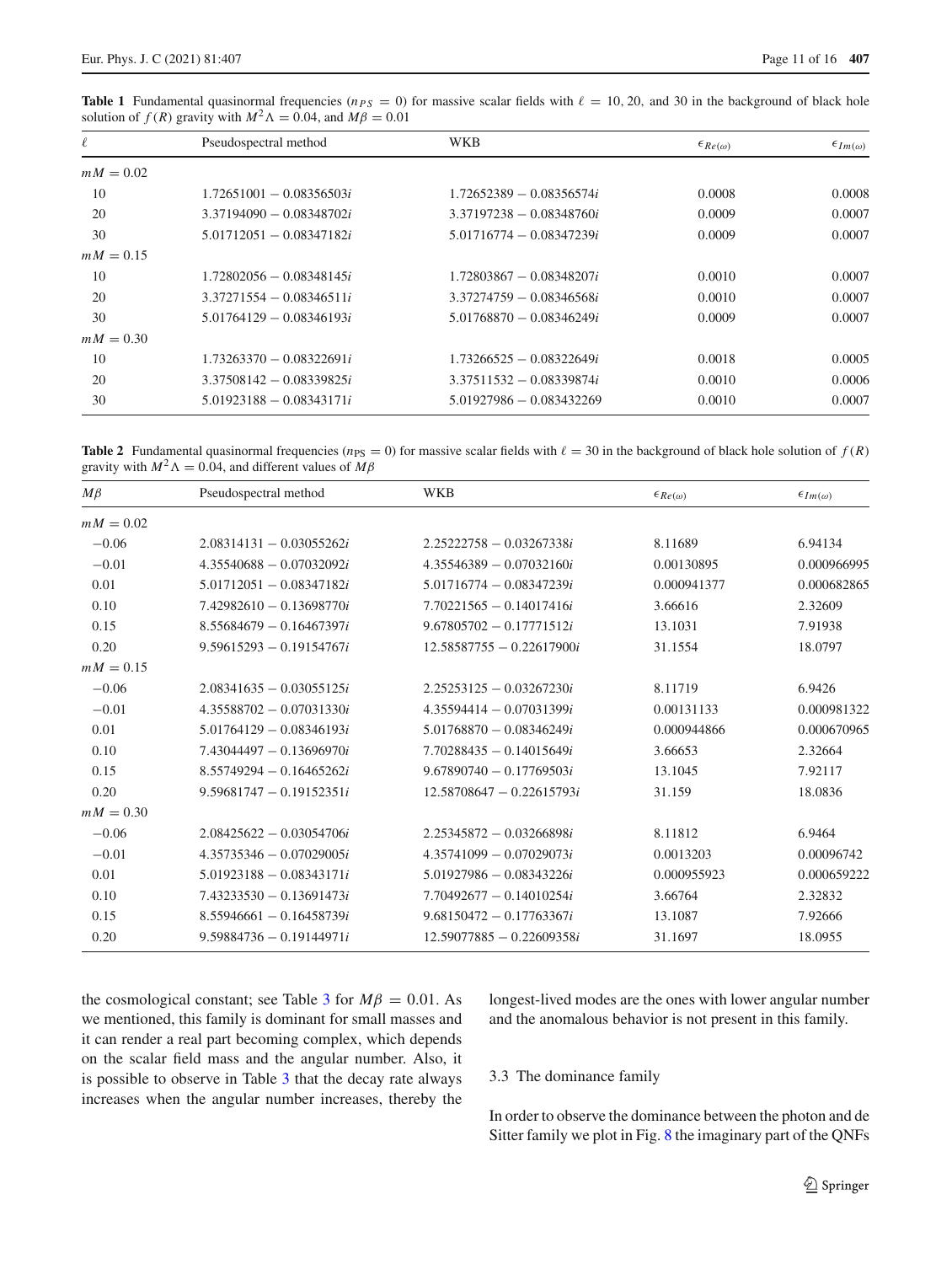<span id="page-10-1"></span>**Table 1** Fundamental quasinormal frequencies ( $n_{PS} = 0$ ) for massive scalar fields with  $\ell = 10, 20$ , and 30 in the background of black hole solution of *f* (*R*) gravity with  $M^2 \Lambda = 0.04$ , and  $M\beta = 0.01$ 

| $\ell$      | Pseudospectral method      | WKB                        | $\epsilon_{Re(\omega)}$ | $\epsilon_{Im(\omega)}$ |
|-------------|----------------------------|----------------------------|-------------------------|-------------------------|
| $mM = 0.02$ |                            |                            |                         |                         |
| 10          | $1.72651001 - 0.08356503i$ | $1.72652389 - 0.08356574i$ | 0.0008                  | 0.0008                  |
| 20          | $3.37194090 - 0.08348702i$ | $3.37197238 - 0.08348760i$ | 0.0009                  | 0.0007                  |
| 30          | $5.01712051 - 0.08347182i$ | $5.01716774 - 0.08347239i$ | 0.0009                  | 0.0007                  |
| $mM = 0.15$ |                            |                            |                         |                         |
| 10          | $1.72802056 - 0.08348145i$ | $1.72803867 - 0.08348207i$ | 0.0010                  | 0.0007                  |
| 20          | $3.37271554 - 0.08346511i$ | $3.37274759 - 0.08346568i$ | 0.0010                  | 0.0007                  |
| 30          | $5.01764129 - 0.08346193i$ | $5.01768870 - 0.08346249i$ | 0.0009                  | 0.0007                  |
| $mM = 0.30$ |                            |                            |                         |                         |
| 10          | $1.73263370 - 0.08322691i$ | $1.73266525 - 0.08322649i$ | 0.0018                  | 0.0005                  |
| 20          | $3.37508142 - 0.08339825i$ | $3.37511532 - 0.08339874i$ | 0.0010                  | 0.0006                  |
| 30          | $5.01923188 - 0.08343171i$ | $5.01927986 - 0.083432269$ | 0.0010                  | 0.0007                  |

<span id="page-10-2"></span>**Table 2** Fundamental quasinormal frequencies ( $n_{PS} = 0$ ) for massive scalar fields with  $\ell = 30$  in the background of black hole solution of  $f(R)$ gravity with  $M^2 \Lambda = 0.04$ , and different values of  $M\beta$ 

| $M\beta$    | Pseudospectral method      | <b>WKB</b>                  | $\epsilon_{Re(\omega)}$ | $\epsilon_{Im(\omega)}$ |
|-------------|----------------------------|-----------------------------|-------------------------|-------------------------|
| $mM = 0.02$ |                            |                             |                         |                         |
| $-0.06$     | $2.08314131 - 0.03055262i$ | $2.25222758 - 0.03267338i$  | 8.11689                 | 6.94134                 |
| $-0.01$     | $4.35540688 - 0.07032092i$ | $4.35546389 - 0.07032160i$  | 0.00130895              | 0.000966995             |
| 0.01        | $5.01712051 - 0.08347182i$ | $5.01716774 - 0.08347239i$  | 0.000941377             | 0.000682865             |
| 0.10        | $7.42982610 - 0.13698770i$ | $7.70221565 - 0.14017416i$  | 3.66616                 | 2.32609                 |
| 0.15        | $8.55684679 - 0.16467397i$ | $9.67805702 - 0.17771512i$  | 13.1031                 | 7.91938                 |
| 0.20        | $9.59615293 - 0.19154767i$ | $12.58587755 - 0.22617900i$ | 31.1554                 | 18.0797                 |
| $mM = 0.15$ |                            |                             |                         |                         |
| $-0.06$     | $2.08341635 - 0.03055125i$ | $2.25253125 - 0.03267230i$  | 8.11719                 | 6.9426                  |
| $-0.01$     | $4.35588702 - 0.07031330i$ | $4.35594414 - 0.07031399i$  | 0.00131133              | 0.000981322             |
| 0.01        | $5.01764129 - 0.08346193i$ | $5.01768870 - 0.08346249i$  | 0.000944866             | 0.000670965             |
| 0.10        | $7.43044497 - 0.13696970i$ | $7.70288435 - 0.14015649i$  | 3.66653                 | 2.32664                 |
| 0.15        | $8.55749294 - 0.16465262i$ | $9.67890740 - 0.17769503i$  | 13.1045                 | 7.92117                 |
| 0.20        | $9.59681747 - 0.19152351i$ | $12.58708647 - 0.22615793i$ | 31.159                  | 18.0836                 |
| $mM = 0.30$ |                            |                             |                         |                         |
| $-0.06$     | $2.08425622 - 0.03054706i$ | $2.25345872 - 0.03266898i$  | 8.11812                 | 6.9464                  |
| $-0.01$     | $4.35735346 - 0.07029005i$ | $4.35741099 - 0.07029073i$  | 0.0013203               | 0.00096742              |
| 0.01        | $5.01923188 - 0.08343171i$ | $5.01927986 - 0.08343226i$  | 0.000955923             | 0.000659222             |
| 0.10        | $7.43233530 - 0.13691473i$ | $7.70492677 - 0.14010254i$  | 3.66764                 | 2.32832                 |
| 0.15        | $8.55946661 - 0.16458739i$ | $9.68150472 - 0.17763367i$  | 13.1087                 | 7.92666                 |
| 0.20        | $9.59884736 - 0.19144971i$ | $12.59077885 - 0.22609358i$ | 31.1697                 | 18.0955                 |

the cosmological constant; see Table [3](#page-11-2) for  $M\beta = 0.01$ . As we mentioned, this family is dominant for small masses and it can render a real part becoming complex, which depends on the scalar field mass and the angular number. Also, it is possible to observe in Table [3](#page-11-2) that the decay rate always increases when the angular number increases, thereby the longest-lived modes are the ones with lower angular number and the anomalous behavior is not present in this family.

## <span id="page-10-0"></span>3.3 The dominance family

In order to observe the dominance between the photon and de Sitter family we plot in Fig. [8](#page-12-0) the imaginary part of the QNFs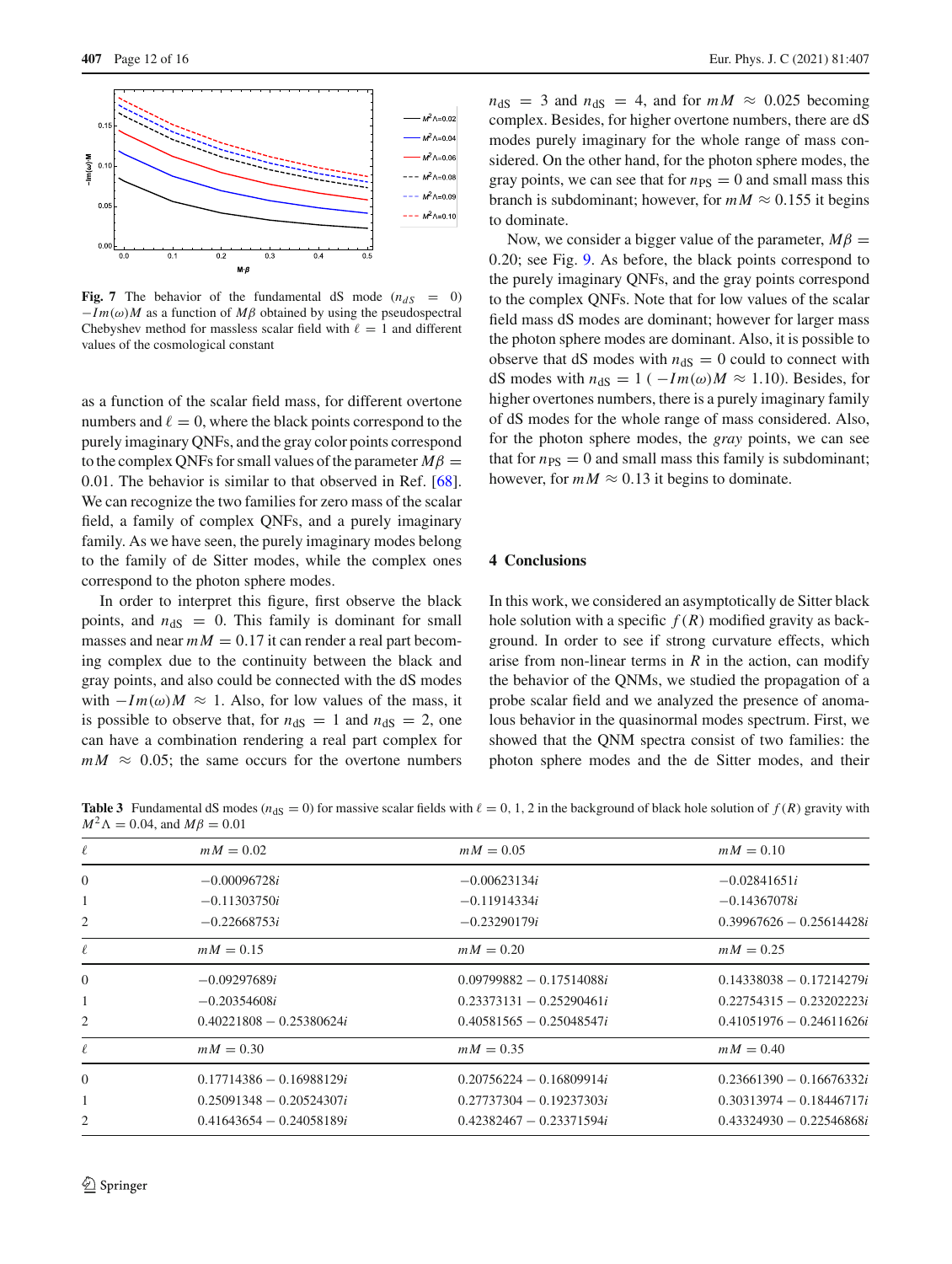

<span id="page-11-1"></span>**Fig. 7** The behavior of the fundamental dS mode  $(n_{dS} = 0)$  $-I m(\omega)M$  as a function of  $M\beta$  obtained by using the pseudospectral Chebyshev method for massless scalar field with  $\ell = 1$  and different values of the cosmological constant

as a function of the scalar field mass, for different overtone numbers and  $\ell = 0$ , where the black points correspond to the purely imaginary QNFs, and the gray color points correspond to the complex QNFs for small values of the parameter  $M\beta$  = 0.01. The behavior is similar to that observed in Ref. [\[68](#page-14-17)]. We can recognize the two families for zero mass of the scalar field, a family of complex QNFs, and a purely imaginary family. As we have seen, the purely imaginary modes belong to the family of de Sitter modes, while the complex ones correspond to the photon sphere modes.

In order to interpret this figure, first observe the black points, and  $n_{dS} = 0$ . This family is dominant for small masses and near  $mM = 0.17$  it can render a real part becoming complex due to the continuity between the black and gray points, and also could be connected with the dS modes with  $-Im(\omega)M \approx 1$ . Also, for low values of the mass, it is possible to observe that, for  $n_{dS} = 1$  and  $n_{dS} = 2$ , one can have a combination rendering a real part complex for  $mM \approx 0.05$ ; the same occurs for the overtone numbers  $n_{\text{dS}} = 3$  and  $n_{\text{dS}} = 4$ , and for  $mM \approx 0.025$  becoming complex. Besides, for higher overtone numbers, there are dS modes purely imaginary for the whole range of mass considered. On the other hand, for the photon sphere modes, the gray points, we can see that for  $n_{PS} = 0$  and small mass this branch is subdominant; however, for  $mM \approx 0.155$  it begins to dominate.

Now, we consider a bigger value of the parameter,  $M\beta$  = 0.20; see Fig. [9.](#page-12-1) As before, the black points correspond to the purely imaginary QNFs, and the gray points correspond to the complex QNFs. Note that for low values of the scalar field mass dS modes are dominant; however for larger mass the photon sphere modes are dominant. Also, it is possible to observe that dS modes with  $n_{dS} = 0$  could to connect with dS modes with  $n_{dS} = 1$  ( $-Im(\omega)M \approx 1.10$ ). Besides, for higher overtones numbers, there is a purely imaginary family of dS modes for the whole range of mass considered. Also, for the photon sphere modes, the *gray* points, we can see that for  $n_{PS} = 0$  and small mass this family is subdominant; however, for  $mM \approx 0.13$  it begins to dominate.

#### <span id="page-11-0"></span>**4 Conclusions**

In this work, we considered an asymptotically de Sitter black hole solution with a specific  $f(R)$  modified gravity as background. In order to see if strong curvature effects, which arise from non-linear terms in  $R$  in the action, can modify the behavior of the QNMs, we studied the propagation of a probe scalar field and we analyzed the presence of anomalous behavior in the quasinormal modes spectrum. First, we showed that the QNM spectra consist of two families: the photon sphere modes and the de Sitter modes, and their

<span id="page-11-2"></span>**Table 3** Fundamental dS modes ( $n_{dS} = 0$ ) for massive scalar fields with  $\ell = 0, 1, 2$  in the background of black hole solution of  $f(R)$  gravity with  $M^{2} \Lambda = 0.04$ , and  $M\beta = 0.01$ 

| $-0.02841651i$             |
|----------------------------|
| $-0.14367078i$             |
| $0.39967626 - 0.25614428i$ |
|                            |
| $0.14338038 - 0.17214279i$ |
| $0.22754315 - 0.23202223i$ |
| $0.41051976 - 0.24611626i$ |
|                            |
| $0.23661390 - 0.16676332i$ |
| $0.30313974 - 0.18446717i$ |
| $0.43324930 - 0.22546868i$ |
|                            |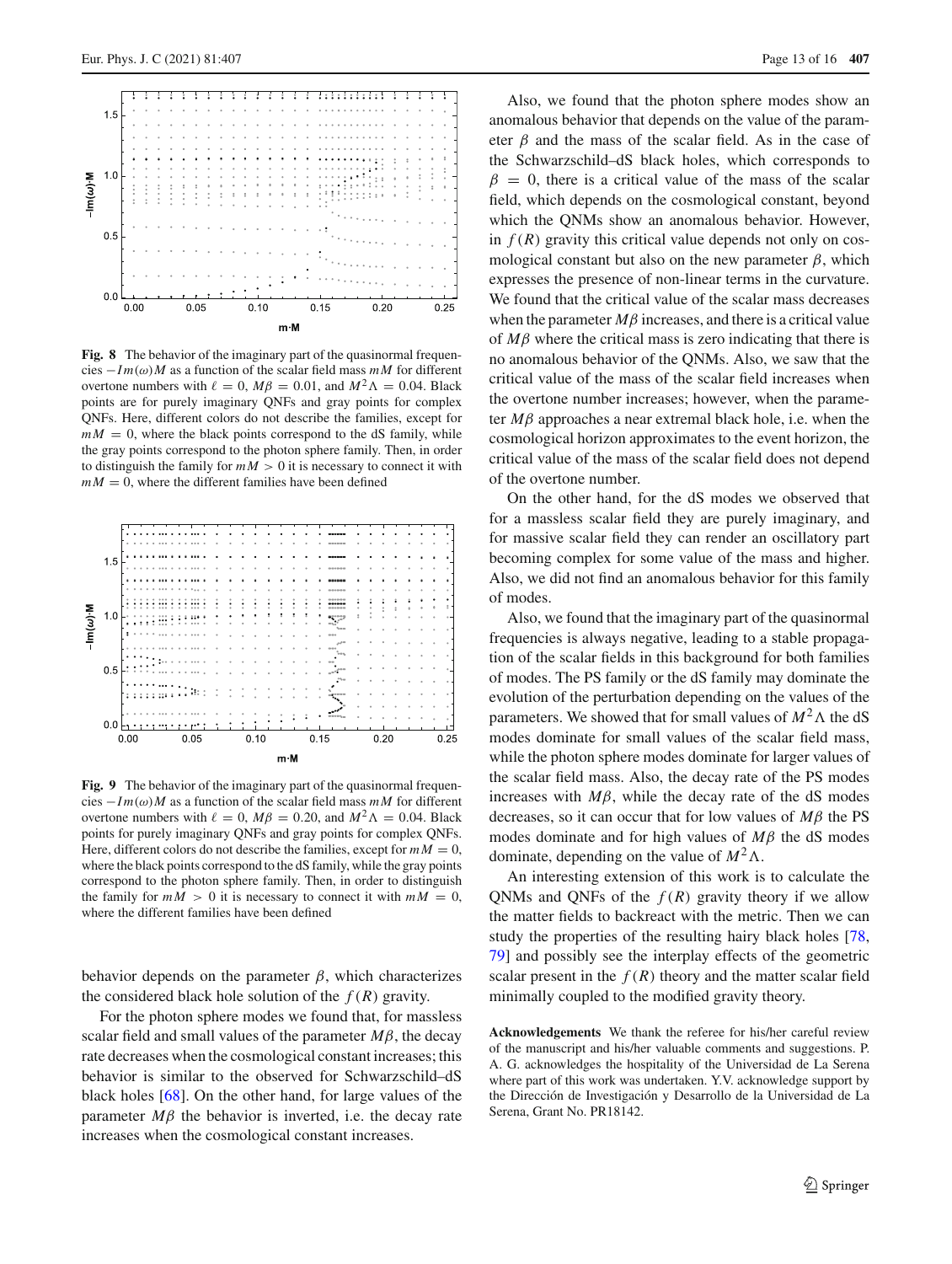

<span id="page-12-0"></span>**Fig. 8** The behavior of the imaginary part of the quasinormal frequencies  $-Im(\omega)M$  as a function of the scalar field mass  $mM$  for different overtone numbers with  $\ell = 0$ ,  $M\beta = 0.01$ , and  $M^2\Lambda = 0.04$ . Black points are for purely imaginary QNFs and gray points for complex QNFs. Here, different colors do not describe the families, except for  $mM = 0$ , where the black points correspond to the dS family, while the gray points correspond to the photon sphere family. Then, in order to distinguish the family for  $mM > 0$  it is necessary to connect it with  $mM = 0$ , where the different families have been defined



<span id="page-12-1"></span>**Fig. 9** The behavior of the imaginary part of the quasinormal frequencies −*I m*(ω)*M* as a function of the scalar field mass *mM* for different overtone numbers with  $\ell = 0$ ,  $M\beta = 0.20$ , and  $M^2\Lambda = 0.04$ . Black points for purely imaginary QNFs and gray points for complex QNFs. Here, different colors do not describe the families, except for  $mM = 0$ , where the black points correspond to the dS family, while the gray points correspond to the photon sphere family. Then, in order to distinguish the family for  $mM > 0$  it is necessary to connect it with  $mM = 0$ , where the different families have been defined

behavior depends on the parameter  $\beta$ , which characterizes the considered black hole solution of the  $f(R)$  gravity.

For the photon sphere modes we found that, for massless scalar field and small values of the parameter  $M\beta$ , the decay rate decreases when the cosmological constant increases; this behavior is similar to the observed for Schwarzschild–dS black holes [\[68\]](#page-14-17). On the other hand, for large values of the parameter  $M\beta$  the behavior is inverted, i.e. the decay rate increases when the cosmological constant increases.

Also, we found that the photon sphere modes show an anomalous behavior that depends on the value of the parameter  $\beta$  and the mass of the scalar field. As in the case of the Schwarzschild–dS black holes, which corresponds to  $\beta = 0$ , there is a critical value of the mass of the scalar field, which depends on the cosmological constant, beyond which the QNMs show an anomalous behavior. However, in  $f(R)$  gravity this critical value depends not only on cosmological constant but also on the new parameter  $\beta$ , which expresses the presence of non-linear terms in the curvature. We found that the critical value of the scalar mass decreases when the parameter  $M\beta$  increases, and there is a critical value of *M*β where the critical mass is zero indicating that there is no anomalous behavior of the QNMs. Also, we saw that the critical value of the mass of the scalar field increases when the overtone number increases; however, when the parameter *M*β approaches a near extremal black hole, i.e. when the cosmological horizon approximates to the event horizon, the critical value of the mass of the scalar field does not depend of the overtone number.

On the other hand, for the dS modes we observed that for a massless scalar field they are purely imaginary, and for massive scalar field they can render an oscillatory part becoming complex for some value of the mass and higher. Also, we did not find an anomalous behavior for this family of modes.

Also, we found that the imaginary part of the quasinormal frequencies is always negative, leading to a stable propagation of the scalar fields in this background for both families of modes. The PS family or the dS family may dominate the evolution of the perturbation depending on the values of the parameters. We showed that for small values of  $M^2 \Lambda$  the dS modes dominate for small values of the scalar field mass, while the photon sphere modes dominate for larger values of the scalar field mass. Also, the decay rate of the PS modes increases with  $M\beta$ , while the decay rate of the dS modes decreases, so it can occur that for low values of *M*β the PS modes dominate and for high values of *M*β the dS modes dominate, depending on the value of  $M^2 \Lambda$ .

An interesting extension of this work is to calculate the QNMs and QNFs of the  $f(R)$  gravity theory if we allow the matter fields to backreact with the metric. Then we can study the properties of the resulting hairy black holes [\[78,](#page-14-27) [79](#page-14-28)] and possibly see the interplay effects of the geometric scalar present in the  $f(R)$  theory and the matter scalar field minimally coupled to the modified gravity theory.

**Acknowledgements** We thank the referee for his/her careful review of the manuscript and his/her valuable comments and suggestions. P. A. G. acknowledges the hospitality of the Universidad de La Serena where part of this work was undertaken. Y.V. acknowledge support by the Dirección de Investigación y Desarrollo de la Universidad de La Serena, Grant No. PR18142.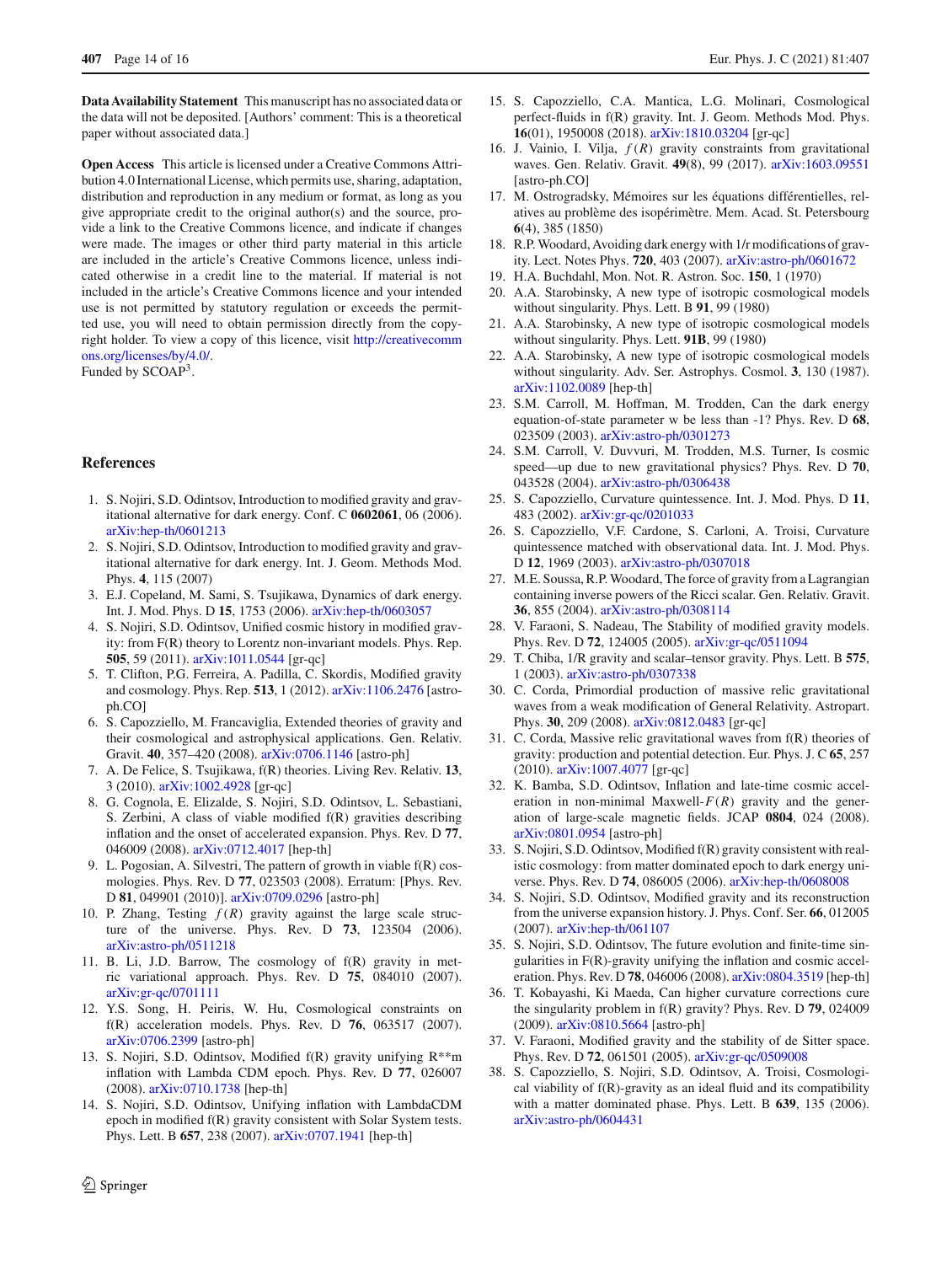**Data Availability Statement** This manuscript has no associated data or the data will not be deposited. [Authors' comment: This is a theoretical paper without associated data.]

**Open Access** This article is licensed under a Creative Commons Attribution 4.0 International License, which permits use, sharing, adaptation, distribution and reproduction in any medium or format, as long as you give appropriate credit to the original author(s) and the source, provide a link to the Creative Commons licence, and indicate if changes were made. The images or other third party material in this article are included in the article's Creative Commons licence, unless indicated otherwise in a credit line to the material. If material is not included in the article's Creative Commons licence and your intended use is not permitted by statutory regulation or exceeds the permitted use, you will need to obtain permission directly from the copyright holder. To view a copy of this licence, visit [http://creativecomm](http://creativecommons.org/licenses/by/4.0/) [ons.org/licenses/by/4.0/.](http://creativecommons.org/licenses/by/4.0/)

Funded by SCOAP<sup>3</sup>.

## <span id="page-13-0"></span>**References**

- <span id="page-13-1"></span>1. S. Nojiri, S.D. Odintsov, Introduction to modified gravity and gravitational alternative for dark energy. Conf. C **0602061**, 06 (2006). [arXiv:hep-th/0601213](http://arxiv.org/abs/hep-th/0601213)
- 2. S. Nojiri, S.D. Odintsov, Introduction to modified gravity and gravitational alternative for dark energy. Int. J. Geom. Methods Mod. Phys. **4**, 115 (2007)
- 3. E.J. Copeland, M. Sami, S. Tsujikawa, Dynamics of dark energy. Int. J. Mod. Phys. D **15**, 1753 (2006). [arXiv:hep-th/0603057](http://arxiv.org/abs/hep-th/0603057)
- 4. S. Nojiri, S.D. Odintsov, Unified cosmic history in modified gravity: from F(R) theory to Lorentz non-invariant models. Phys. Rep. **505**, 59 (2011). [arXiv:1011.0544](http://arxiv.org/abs/1011.0544) [gr-qc]
- 5. T. Clifton, P.G. Ferreira, A. Padilla, C. Skordis, Modified gravity and cosmology. Phys. Rep. **513**, 1 (2012). [arXiv:1106.2476](http://arxiv.org/abs/1106.2476) [astroph.CO]
- <span id="page-13-2"></span>6. S. Capozziello, M. Francaviglia, Extended theories of gravity and their cosmological and astrophysical applications. Gen. Relativ. Gravit. **40**, 357–420 (2008). [arXiv:0706.1146](http://arxiv.org/abs/0706.1146) [astro-ph]
- <span id="page-13-3"></span>7. A. De Felice, S. Tsujikawa, f(R) theories. Living Rev. Relativ. **13**, 3 (2010). [arXiv:1002.4928](http://arxiv.org/abs/1002.4928) [gr-qc]
- 8. G. Cognola, E. Elizalde, S. Nojiri, S.D. Odintsov, L. Sebastiani, S. Zerbini, A class of viable modified f(R) gravities describing inflation and the onset of accelerated expansion. Phys. Rev. D **77**, 046009 (2008). [arXiv:0712.4017](http://arxiv.org/abs/0712.4017) [hep-th]
- 9. L. Pogosian, A. Silvestri, The pattern of growth in viable f(R) cosmologies. Phys. Rev. D **77**, 023503 (2008). Erratum: [Phys. Rev. D **81**, 049901 (2010)]. [arXiv:0709.0296](http://arxiv.org/abs/0709.0296) [astro-ph]
- 10. P. Zhang, Testing  $f(R)$  gravity against the large scale structure of the universe. Phys. Rev. D **73**, 123504 (2006). [arXiv:astro-ph/0511218](http://arxiv.org/abs/astro-ph/0511218)
- 11. B. Li, J.D. Barrow, The cosmology of f(R) gravity in metric variational approach. Phys. Rev. D **75**, 084010 (2007). [arXiv:gr-qc/0701111](http://arxiv.org/abs/gr-qc/0701111)
- 12. Y.S. Song, H. Peiris, W. Hu, Cosmological constraints on f(R) acceleration models. Phys. Rev. D **76**, 063517 (2007). [arXiv:0706.2399](http://arxiv.org/abs/0706.2399) [astro-ph]
- 13. S. Nojiri, S.D. Odintsov, Modified  $f(R)$  gravity unifying  $R^{**}m$ inflation with Lambda CDM epoch. Phys. Rev. D **77**, 026007 (2008). [arXiv:0710.1738](http://arxiv.org/abs/0710.1738) [hep-th]
- 14. S. Nojiri, S.D. Odintsov, Unifying inflation with LambdaCDM epoch in modified f(R) gravity consistent with Solar System tests. Phys. Lett. B **657**, 238 (2007). [arXiv:0707.1941](http://arxiv.org/abs/0707.1941) [hep-th]
- 15. S. Capozziello, C.A. Mantica, L.G. Molinari, Cosmological perfect-fluids in f(R) gravity. Int. J. Geom. Methods Mod. Phys. **16**(01), 1950008 (2018). [arXiv:1810.03204](http://arxiv.org/abs/1810.03204) [gr-qc]
- <span id="page-13-4"></span>16. J. Vainio, I. Vilja, *f* (*R*) gravity constraints from gravitational waves. Gen. Relativ. Gravit. **49**(8), 99 (2017). [arXiv:1603.09551](http://arxiv.org/abs/1603.09551) [astro-ph.CO]
- <span id="page-13-5"></span>17. M. Ostrogradsky, Mémoires sur les équations différentielles, relatives au problème des isopérimètre. Mem. Acad. St. Petersbourg **6**(4), 385 (1850)
- <span id="page-13-6"></span>18. R.P. Woodard, Avoiding dark energy with 1/r modifications of gravity. Lect. Notes Phys. **720**, 403 (2007). [arXiv:astro-ph/0601672](http://arxiv.org/abs/astro-ph/0601672)
- <span id="page-13-7"></span>19. H.A. Buchdahl, Mon. Not. R. Astron. Soc. **150**, 1 (1970)
- <span id="page-13-8"></span>20. A.A. Starobinsky, A new type of isotropic cosmological models without singularity. Phys. Lett. B **91**, 99 (1980)
- 21. A.A. Starobinsky, A new type of isotropic cosmological models without singularity. Phys. Lett. **91B**, 99 (1980)
- <span id="page-13-9"></span>22. A.A. Starobinsky, A new type of isotropic cosmological models without singularity. Adv. Ser. Astrophys. Cosmol. **3**, 130 (1987). [arXiv:1102.0089](http://arxiv.org/abs/1102.0089) [hep-th]
- <span id="page-13-10"></span>23. S.M. Carroll, M. Hoffman, M. Trodden, Can the dark energy equation-of-state parameter w be less than -1? Phys. Rev. D **68**, 023509 (2003). [arXiv:astro-ph/0301273](http://arxiv.org/abs/astro-ph/0301273)
- 24. S.M. Carroll, V. Duvvuri, M. Trodden, M.S. Turner, Is cosmic speed—up due to new gravitational physics? Phys. Rev. D **70**, 043528 (2004). [arXiv:astro-ph/0306438](http://arxiv.org/abs/astro-ph/0306438)
- 25. S. Capozziello, Curvature quintessence. Int. J. Mod. Phys. D **11**, 483 (2002). [arXiv:gr-qc/0201033](http://arxiv.org/abs/gr-qc/0201033)
- <span id="page-13-11"></span>26. S. Capozziello, V.F. Cardone, S. Carloni, A. Troisi, Curvature quintessence matched with observational data. Int. J. Mod. Phys. D **12**, 1969 (2003). [arXiv:astro-ph/0307018](http://arxiv.org/abs/astro-ph/0307018)
- <span id="page-13-12"></span>27. M.E. Soussa, R.P. Woodard, The force of gravity from a Lagrangian containing inverse powers of the Ricci scalar. Gen. Relativ. Gravit. **36**, 855 (2004). [arXiv:astro-ph/0308114](http://arxiv.org/abs/astro-ph/0308114)
- <span id="page-13-13"></span>28. V. Faraoni, S. Nadeau, The Stability of modified gravity models. Phys. Rev. D **72**, 124005 (2005). [arXiv:gr-qc/0511094](http://arxiv.org/abs/gr-qc/0511094)
- <span id="page-13-14"></span>29. T. Chiba, 1/R gravity and scalar–tensor gravity. Phys. Lett. B **575**, 1 (2003). [arXiv:astro-ph/0307338](http://arxiv.org/abs/astro-ph/0307338)
- <span id="page-13-15"></span>30. C. Corda, Primordial production of massive relic gravitational waves from a weak modification of General Relativity. Astropart. Phys. **30**, 209 (2008). [arXiv:0812.0483](http://arxiv.org/abs/0812.0483) [gr-qc]
- <span id="page-13-16"></span>31. C. Corda, Massive relic gravitational waves from f(R) theories of gravity: production and potential detection. Eur. Phys. J. C **65**, 257 (2010). [arXiv:1007.4077](http://arxiv.org/abs/1007.4077) [gr-qc]
- <span id="page-13-17"></span>32. K. Bamba, S.D. Odintsov, Inflation and late-time cosmic acceleration in non-minimal Maxwell-*F*(*R*) gravity and the generation of large-scale magnetic fields. JCAP **0804**, 024 (2008). [arXiv:0801.0954](http://arxiv.org/abs/0801.0954) [astro-ph]
- <span id="page-13-18"></span>33. S. Nojiri, S.D. Odintsov, Modified f(R) gravity consistent with realistic cosmology: from matter dominated epoch to dark energy universe. Phys. Rev. D **74**, 086005 (2006). [arXiv:hep-th/0608008](http://arxiv.org/abs/hep-th/0608008)
- 34. S. Nojiri, S.D. Odintsov, Modified gravity and its reconstruction from the universe expansion history. J. Phys. Conf. Ser. **66**, 012005 (2007). [arXiv:hep-th/061107](http://arxiv.org/abs/hep-th/061107)
- <span id="page-13-19"></span>35. S. Nojiri, S.D. Odintsov, The future evolution and finite-time singularities in F(R)-gravity unifying the inflation and cosmic acceleration. Phys. Rev. D **78**, 046006 (2008). [arXiv:0804.3519](http://arxiv.org/abs/0804.3519) [hep-th]
- <span id="page-13-20"></span>36. T. Kobayashi, Ki Maeda, Can higher curvature corrections cure the singularity problem in f(R) gravity? Phys. Rev. D **79**, 024009 (2009). [arXiv:0810.5664](http://arxiv.org/abs/0810.5664) [astro-ph]
- <span id="page-13-21"></span>37. V. Faraoni, Modified gravity and the stability of de Sitter space. Phys. Rev. D **72**, 061501 (2005). [arXiv:gr-qc/0509008](http://arxiv.org/abs/gr-qc/0509008)
- 38. S. Capozziello, S. Nojiri, S.D. Odintsov, A. Troisi, Cosmological viability of f(R)-gravity as an ideal fluid and its compatibility with a matter dominated phase. Phys. Lett. B **639**, 135 (2006). [arXiv:astro-ph/0604431](http://arxiv.org/abs/astro-ph/0604431)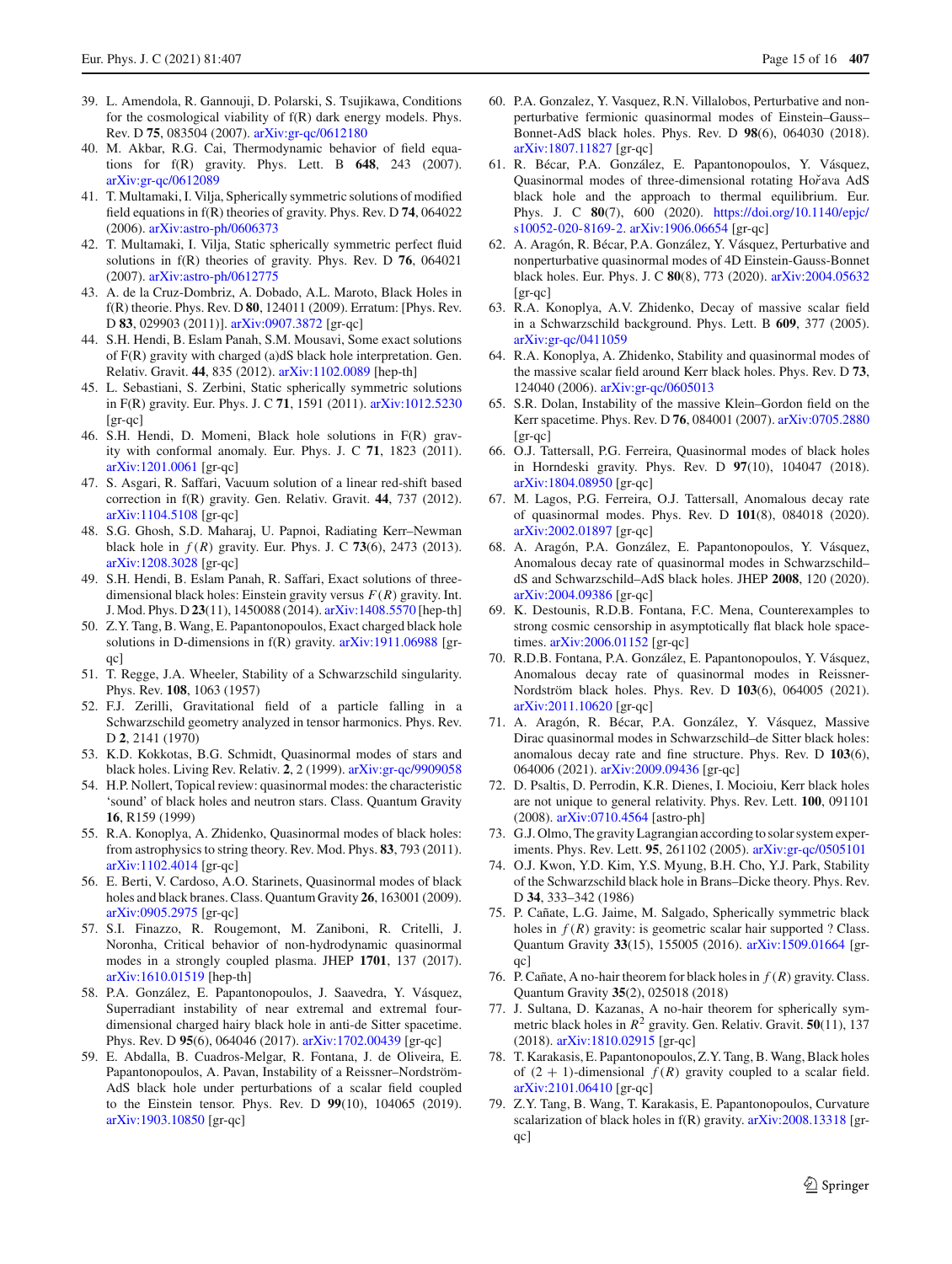- <span id="page-14-0"></span>39. L. Amendola, R. Gannouji, D. Polarski, S. Tsujikawa, Conditions for the cosmological viability of f(R) dark energy models. Phys. Rev. D **75**, 083504 (2007). [arXiv:gr-qc/0612180](http://arxiv.org/abs/gr-qc/0612180)
- <span id="page-14-1"></span>40. M. Akbar, R.G. Cai, Thermodynamic behavior of field equations for f(R) gravity. Phys. Lett. B **648**, 243 (2007). [arXiv:gr-qc/0612089](http://arxiv.org/abs/gr-qc/0612089)
- <span id="page-14-2"></span>41. T. Multamaki, I. Vilja, Spherically symmetric solutions of modified field equations in f(R) theories of gravity. Phys. Rev. D **74**, 064022 (2006). [arXiv:astro-ph/0606373](http://arxiv.org/abs/astro-ph/0606373)
- <span id="page-14-3"></span>42. T. Multamaki, I. Vilja, Static spherically symmetric perfect fluid solutions in f(R) theories of gravity. Phys. Rev. D **76**, 064021 (2007). [arXiv:astro-ph/0612775](http://arxiv.org/abs/astro-ph/0612775)
- <span id="page-14-4"></span>43. A. de la Cruz-Dombriz, A. Dobado, A.L. Maroto, Black Holes in f(R) theorie. Phys. Rev. D **80**, 124011 (2009). Erratum: [Phys. Rev. D **83**, 029903 (2011)]. [arXiv:0907.3872](http://arxiv.org/abs/0907.3872) [gr-qc]
- <span id="page-14-5"></span>44. S.H. Hendi, B. Eslam Panah, S.M. Mousavi, Some exact solutions of F(R) gravity with charged (a)dS black hole interpretation. Gen. Relativ. Gravit. **44**, 835 (2012). [arXiv:1102.0089](http://arxiv.org/abs/1102.0089) [hep-th]
- 45. L. Sebastiani, S. Zerbini, Static spherically symmetric solutions in F(R) gravity. Eur. Phys. J. C **71**, 1591 (2011). [arXiv:1012.5230](http://arxiv.org/abs/1012.5230) [gr-qc]
- 46. S.H. Hendi, D. Momeni, Black hole solutions in F(R) gravity with conformal anomaly. Eur. Phys. J. C **71**, 1823 (2011). [arXiv:1201.0061](http://arxiv.org/abs/1201.0061) [gr-qc]
- 47. S. Asgari, R. Saffari, Vacuum solution of a linear red-shift based correction in f(R) gravity. Gen. Relativ. Gravit. **44**, 737 (2012). [arXiv:1104.5108](http://arxiv.org/abs/1104.5108) [gr-qc]
- 48. S.G. Ghosh, S.D. Maharaj, U. Papnoi, Radiating Kerr–Newman black hole in *f* (*R*) gravity. Eur. Phys. J. C **73**(6), 2473 (2013). [arXiv:1208.3028](http://arxiv.org/abs/1208.3028) [gr-qc]
- <span id="page-14-6"></span>49. S.H. Hendi, B. Eslam Panah, R. Saffari, Exact solutions of threedimensional black holes: Einstein gravity versus *F*(*R*) gravity. Int. J. Mod. Phys. D **23**(11), 1450088 (2014). [arXiv:1408.5570](http://arxiv.org/abs/1408.5570) [hep-th]
- <span id="page-14-7"></span>50. Z.Y. Tang, B. Wang, E. Papantonopoulos, Exact charged black hole solutions in D-dimensions in f(R) gravity. [arXiv:1911.06988](http://arxiv.org/abs/1911.06988) [grqc]
- <span id="page-14-8"></span>51. T. Regge, J.A. Wheeler, Stability of a Schwarzschild singularity. Phys. Rev. **108**, 1063 (1957)
- 52. F.J. Zerilli, Gravitational field of a particle falling in a Schwarzschild geometry analyzed in tensor harmonics. Phys. Rev. D **2**, 2141 (1970)
- <span id="page-14-10"></span>53. K.D. Kokkotas, B.G. Schmidt, Quasinormal modes of stars and black holes. Living Rev. Relativ. **2**, 2 (1999). [arXiv:gr-qc/9909058](http://arxiv.org/abs/gr-qc/9909058)
- 54. H.P. Nollert, Topical review: quasinormal modes: the characteristic 'sound' of black holes and neutron stars. Class. Quantum Gravity **16**, R159 (1999)
- <span id="page-14-9"></span>55. R.A. Konoplya, A. Zhidenko, Quasinormal modes of black holes: from astrophysics to string theory. Rev. Mod. Phys. **83**, 793 (2011). [arXiv:1102.4014](http://arxiv.org/abs/1102.4014) [gr-qc]
- <span id="page-14-11"></span>56. E. Berti, V. Cardoso, A.O. Starinets, Quasinormal modes of black holes and black branes. Class. Quantum Gravity **26**, 163001 (2009). [arXiv:0905.2975](http://arxiv.org/abs/0905.2975) [gr-qc]
- <span id="page-14-12"></span>57. S.I. Finazzo, R. Rougemont, M. Zaniboni, R. Critelli, J. Noronha, Critical behavior of non-hydrodynamic quasinormal modes in a strongly coupled plasma. JHEP **1701**, 137 (2017). [arXiv:1610.01519](http://arxiv.org/abs/1610.01519) [hep-th]
- 58. P.A. González, E. Papantonopoulos, J. Saavedra, Y. Vásquez, Superradiant instability of near extremal and extremal fourdimensional charged hairy black hole in anti-de Sitter spacetime. Phys. Rev. D **95**(6), 064046 (2017). [arXiv:1702.00439](http://arxiv.org/abs/1702.00439) [gr-qc]
- 59. E. Abdalla, B. Cuadros-Melgar, R. Fontana, J. de Oliveira, E. Papantonopoulos, A. Pavan, Instability of a Reissner–Nordström-AdS black hole under perturbations of a scalar field coupled to the Einstein tensor. Phys. Rev. D **99**(10), 104065 (2019). [arXiv:1903.10850](http://arxiv.org/abs/1903.10850) [gr-qc]
- 60. P.A. Gonzalez, Y. Vasquez, R.N. Villalobos, Perturbative and nonperturbative fermionic quasinormal modes of Einstein–Gauss– Bonnet-AdS black holes. Phys. Rev. D **98**(6), 064030 (2018). [arXiv:1807.11827](http://arxiv.org/abs/1807.11827) [gr-qc]
- 61. R. Bécar, P.A. González, E. Papantonopoulos, Y. Vásquez, Quasinormal modes of three-dimensional rotating Hor<sup>\*</sup>ava AdS black hole and the approach to thermal equilibrium. Eur. Phys. J. C **80**(7), 600 (2020). [https://doi.org/10.1140/epjc/](https://doi.org/10.1140/epjc/s10052-020-8169-2) [s10052-020-8169-2.](https://doi.org/10.1140/epjc/s10052-020-8169-2) [arXiv:1906.06654](http://arxiv.org/abs/1906.06654) [gr-qc]
- <span id="page-14-13"></span>62. A. Aragón, R. Bécar, P.A. González, Y. Vásquez, Perturbative and nonperturbative quasinormal modes of 4D Einstein-Gauss-Bonnet black holes. Eur. Phys. J. C **80**(8), 773 (2020). [arXiv:2004.05632](http://arxiv.org/abs/2004.05632) [gr-qc]
- <span id="page-14-14"></span>63. R.A. Konoplya, A.V. Zhidenko, Decay of massive scalar field in a Schwarzschild background. Phys. Lett. B **609**, 377 (2005). [arXiv:gr-qc/0411059](http://arxiv.org/abs/gr-qc/0411059)
- 64. R.A. Konoplya, A. Zhidenko, Stability and quasinormal modes of the massive scalar field around Kerr black holes. Phys. Rev. D **73**, 124040 (2006). [arXiv:gr-qc/0605013](http://arxiv.org/abs/gr-qc/0605013)
- 65. S.R. Dolan, Instability of the massive Klein–Gordon field on the Kerr spacetime. Phys. Rev. D **76**, 084001 (2007). [arXiv:0705.2880](http://arxiv.org/abs/0705.2880) [gr-qc]
- <span id="page-14-15"></span>66. O.J. Tattersall, P.G. Ferreira, Quasinormal modes of black holes in Horndeski gravity. Phys. Rev. D **97**(10), 104047 (2018). [arXiv:1804.08950](http://arxiv.org/abs/1804.08950) [gr-qc]
- <span id="page-14-16"></span>67. M. Lagos, P.G. Ferreira, O.J. Tattersall, Anomalous decay rate of quasinormal modes. Phys. Rev. D **101**(8), 084018 (2020). [arXiv:2002.01897](http://arxiv.org/abs/2002.01897) [gr-qc]
- <span id="page-14-17"></span>68. A. Aragón, P.A. González, E. Papantonopoulos, Y. Vásquez, Anomalous decay rate of quasinormal modes in Schwarzschild– dS and Schwarzschild–AdS black holes. JHEP **2008**, 120 (2020). [arXiv:2004.09386](http://arxiv.org/abs/2004.09386) [gr-qc]
- <span id="page-14-18"></span>69. K. Destounis, R.D.B. Fontana, F.C. Mena, Counterexamples to strong cosmic censorship in asymptotically flat black hole spacetimes. [arXiv:2006.01152](http://arxiv.org/abs/2006.01152) [gr-qc]
- <span id="page-14-19"></span>70. R.D.B. Fontana, P.A. González, E. Papantonopoulos, Y. Vásquez, Anomalous decay rate of quasinormal modes in Reissner-Nordström black holes. Phys. Rev. D **103**(6), 064005 (2021). [arXiv:2011.10620](http://arxiv.org/abs/2011.10620) [gr-qc]
- <span id="page-14-20"></span>71. A. Aragón, R. Bécar, P.A. González, Y. Vásquez, Massive Dirac quasinormal modes in Schwarzschild–de Sitter black holes: anomalous decay rate and fine structure. Phys. Rev. D **103**(6), 064006 (2021). [arXiv:2009.09436](http://arxiv.org/abs/2009.09436) [gr-qc]
- <span id="page-14-21"></span>72. D. Psaltis, D. Perrodin, K.R. Dienes, I. Mocioiu, Kerr black holes are not unique to general relativity. Phys. Rev. Lett. **100**, 091101 (2008). [arXiv:0710.4564](http://arxiv.org/abs/0710.4564) [astro-ph]
- <span id="page-14-22"></span>73. G.J. Olmo, The gravity Lagrangian according to solar system experiments. Phys. Rev. Lett. **95**, 261102 (2005). [arXiv:gr-qc/0505101](http://arxiv.org/abs/gr-qc/0505101)
- <span id="page-14-23"></span>74. O.J. Kwon, Y.D. Kim, Y.S. Myung, B.H. Cho, Y.J. Park, Stability of the Schwarzschild black hole in Brans–Dicke theory. Phys. Rev. D **34**, 333–342 (1986)
- <span id="page-14-24"></span>75. P. Cañate, L.G. Jaime, M. Salgado, Spherically symmetric black holes in  $f(R)$  gravity: is geometric scalar hair supported ? Class. Quantum Gravity **33**(15), 155005 (2016). [arXiv:1509.01664](http://arxiv.org/abs/1509.01664) [grqc]
- <span id="page-14-25"></span>76. P. Cañate, A no-hair theorem for black holes in *f* (*R*) gravity. Class. Quantum Gravity **35**(2), 025018 (2018)
- <span id="page-14-26"></span>77. J. Sultana, D. Kazanas, A no-hair theorem for spherically symmetric black holes in *R*<sup>2</sup> gravity. Gen. Relativ. Gravit. **50**(11), 137 (2018). [arXiv:1810.02915](http://arxiv.org/abs/1810.02915) [gr-qc]
- <span id="page-14-27"></span>78. T. Karakasis, E. Papantonopoulos, Z.Y. Tang, B. Wang, Black holes of  $(2 + 1)$ -dimensional  $f(R)$  gravity coupled to a scalar field. [arXiv:2101.06410](http://arxiv.org/abs/2101.06410) [gr-qc]
- <span id="page-14-28"></span>79. Z.Y. Tang, B. Wang, T. Karakasis, E. Papantonopoulos, Curvature scalarization of black holes in  $f(R)$  gravity.  $arXiv:2008.13318$  [grqc]